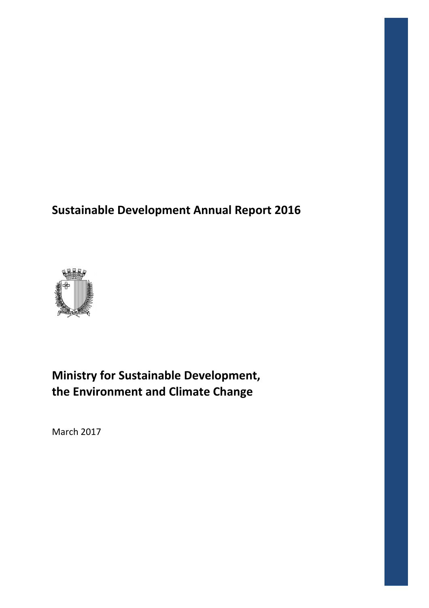# **Sustainable Development Annual ustainable Report 2016**



# **Ministry for Sustainable Development, the Environment and Climate Change**

March 2017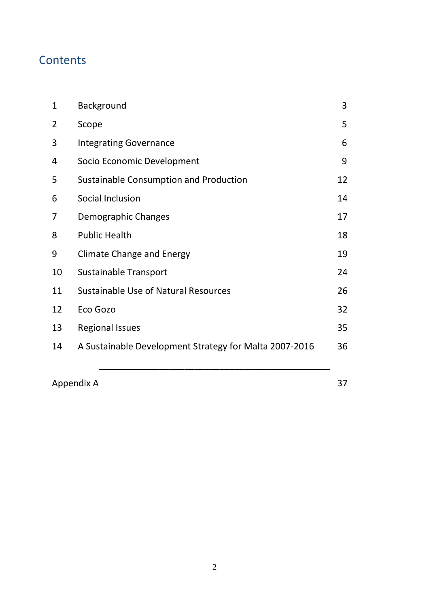# **Contents**

| $\mathbf{1}$ | Background                                             | 3  |
|--------------|--------------------------------------------------------|----|
| 2            | Scope                                                  | 5  |
| 3            | <b>Integrating Governance</b>                          | 6  |
| 4            | Socio Economic Development                             | 9  |
| 5            | Sustainable Consumption and Production                 | 12 |
| 6            | Social Inclusion                                       | 14 |
| 7            | Demographic Changes                                    | 17 |
| 8            | <b>Public Health</b>                                   | 18 |
| 9            | <b>Climate Change and Energy</b>                       | 19 |
| 10           | <b>Sustainable Transport</b>                           | 24 |
| 11           | Sustainable Use of Natural Resources                   | 26 |
| 12           | Eco Gozo                                               | 32 |
| 13           | <b>Regional Issues</b>                                 | 35 |
| 14           | A Sustainable Development Strategy for Malta 2007-2016 | 36 |
|              |                                                        |    |

Appendix A 37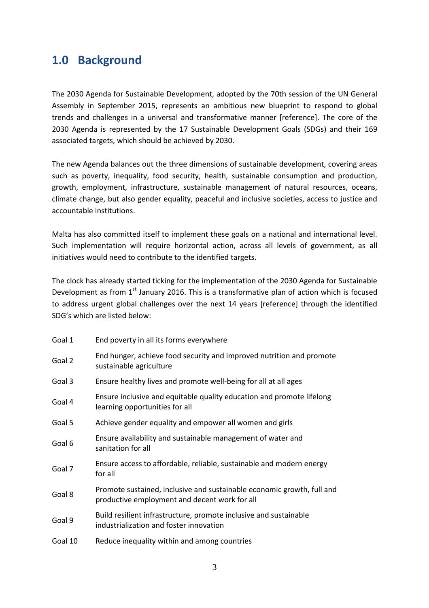# **1.0 Background**

The 2030 Agenda for Sustainable Development, adopted by the 70th session of the UN General Assembly in September 2015, represents an ambitious new blueprint to respond to global trends and challenges in a universal and transformative manner [reference]. The core of the 2030 Agenda is represented by the 17 Sustainable Development Goals (SDGs) and their 169 associated targets, which should be achieved by 2030.

The new Agenda balances out the three dimensions of sustainable development, covering areas such as poverty, inequality, food security, health, sustainable consumption and production, growth, employment, infrastructure, sustainable management of natural resources, oceans, climate change, but also gender equality, peaceful and inclusive societies, access to justice and accountable institutions.

Malta has also committed itself to implement these goals on a national and international level. Such implementation will require horizontal action, across all levels of government, as all initiatives would need to contribute to the identified targets.

The clock has already started ticking for the implementation of the 2030 Agenda for Sustainable Development as from  $1<sup>st</sup>$  January 2016. This is a transformative plan of action which is focused to address urgent global challenges over the next 14 years [reference] through the identified SDG's which are listed below:

| Goal 1  | End poverty in all its forms everywhere                                                                                 |
|---------|-------------------------------------------------------------------------------------------------------------------------|
| Goal 2  | End hunger, achieve food security and improved nutrition and promote<br>sustainable agriculture                         |
| Goal 3  | Ensure healthy lives and promote well-being for all at all ages                                                         |
| Goal 4  | Ensure inclusive and equitable quality education and promote lifelong<br>learning opportunities for all                 |
| Goal 5  | Achieve gender equality and empower all women and girls                                                                 |
| Goal 6  | Ensure availability and sustainable management of water and<br>sanitation for all                                       |
| Goal 7  | Ensure access to affordable, reliable, sustainable and modern energy<br>for all                                         |
| Goal 8  | Promote sustained, inclusive and sustainable economic growth, full and<br>productive employment and decent work for all |
| Goal 9  | Build resilient infrastructure, promote inclusive and sustainable<br>industrialization and foster innovation            |
| Goal 10 | Reduce inequality within and among countries                                                                            |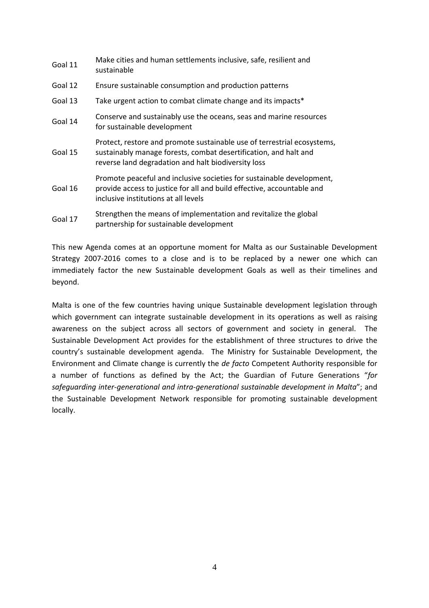| Goal 11 | Make cities and human settlements inclusive, safe, resilient and<br>sustainable                                                                                                                    |
|---------|----------------------------------------------------------------------------------------------------------------------------------------------------------------------------------------------------|
| Goal 12 | Ensure sustainable consumption and production patterns                                                                                                                                             |
| Goal 13 | Take urgent action to combat climate change and its impacts*                                                                                                                                       |
| Goal 14 | Conserve and sustainably use the oceans, seas and marine resources<br>for sustainable development                                                                                                  |
| Goal 15 | Protect, restore and promote sustainable use of terrestrial ecosystems,<br>sustainably manage forests, combat desertification, and halt and<br>reverse land degradation and halt biodiversity loss |
| Goal 16 | Promote peaceful and inclusive societies for sustainable development,<br>provide access to justice for all and build effective, accountable and<br>inclusive institutions at all levels            |
| Goal 17 | Strengthen the means of implementation and revitalize the global<br>partnership for sustainable development                                                                                        |

This new Agenda comes at an opportune moment for Malta as our Sustainable Development Strategy 2007-2016 comes to a close and is to be replaced by a newer one which can immediately factor the new Sustainable development Goals as well as their timelines and beyond.

Malta is one of the few countries having unique Sustainable development legislation through which government can integrate sustainable development in its operations as well as raising awareness on the subject across all sectors of government and society in general. The Sustainable Development Act provides for the establishment of three structures to drive the country's sustainable development agenda. The Ministry for Sustainable Development, the Environment and Climate change is currently the *de facto* Competent Authority responsible for a number of functions as defined by the Act; the Guardian of Future Generations "*for safeguarding inter-generational and intra-generational sustainable development in Malta*"; and the Sustainable Development Network responsible for promoting sustainable development locally.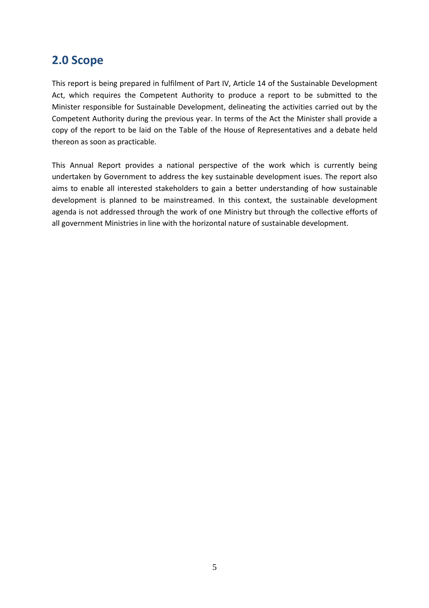# **2.0 Scope**

This report is being prepared in fulfilment of Part IV, Article 14 of the Sustainable Development Act, which requires the Competent Authority to produce a report to be submitted to the Minister responsible for Sustainable Development, delineating the activities carried out by the Competent Authority during the previous year. In terms of the Act the Minister shall provide a copy of the report to be laid on the Table of the House of Representatives and a debate held thereon as soon as practicable.

This Annual Report provides a national perspective of the work which is currently being undertaken by Government to address the key sustainable development isues. The report also aims to enable all interested stakeholders to gain a better understanding of how sustainable development is planned to be mainstreamed. In this context, the sustainable development agenda is not addressed through the work of one Ministry but through the collective efforts of all government Ministries in line with the horizontal nature of sustainable development.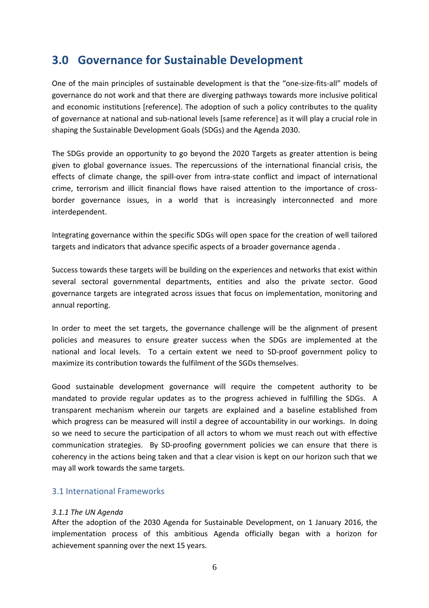# **3.0 Governance for Sustainable Development**

One of the main principles of sustainable development is that the "one-size-fits-all" models of governance do not work and that there are diverging pathways towards more inclusive political and economic institutions [reference]. The adoption of such a policy contributes to the quality of governance at national and sub-national levels [same reference] as it will play a crucial role in shaping the Sustainable Development Goals (SDGs) and the Agenda 2030.

The SDGs provide an opportunity to go beyond the 2020 Targets as greater attention is being given to global governance issues. The repercussions of the international financial crisis, the effects of climate change, the spill-over from intra-state conflict and impact of international crime, terrorism and illicit financial flows have raised attention to the importance of crossborder governance issues, in a world that is increasingly interconnected and more interdependent.

Integrating governance within the specific SDGs will open space for the creation of well tailored targets and indicators that advance specific aspects of a broader governance agenda .

Success towards these targets will be building on the experiences and networks that exist within several sectoral governmental departments, entities and also the private sector. Good governance targets are integrated across issues that focus on implementation, monitoring and annual reporting.

In order to meet the set targets, the governance challenge will be the alignment of present policies and measures to ensure greater success when the SDGs are implemented at the national and local levels. To a certain extent we need to SD-proof government policy to maximize its contribution towards the fulfilment of the SGDs themselves.

Good sustainable development governance will require the competent authority to be mandated to provide regular updates as to the progress achieved in fulfilling the SDGs. A transparent mechanism wherein our targets are explained and a baseline established from which progress can be measured will instil a degree of accountability in our workings. In doing so we need to secure the participation of all actors to whom we must reach out with effective communication strategies. By SD-proofing government policies we can ensure that there is coherency in the actions being taken and that a clear vision is kept on our horizon such that we may all work towards the same targets.

### 3.1 International Frameworks

### *3.1.1 The UN Agenda*

After the adoption of the 2030 Agenda for Sustainable Development, on 1 January 2016, the implementation process of this ambitious Agenda officially began with a horizon for achievement spanning over the next 15 years.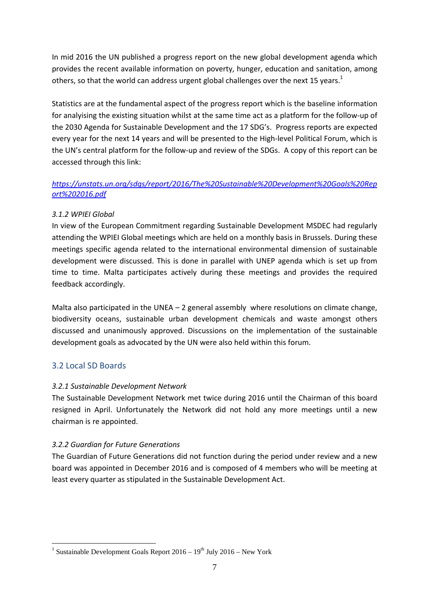In mid 2016 the UN published a progress report on the new global development agenda which provides the recent available information on poverty, hunger, education and sanitation, among others, so that the world can address urgent global challenges over the next 15 years.<sup>1</sup>

Statistics are at the fundamental aspect of the progress report which is the baseline information for analyising the existing situation whilst at the same time act as a platform for the follow-up of the 2030 Agenda for Sustainable Development and the 17 SDG's. Progress reports are expected every year for the next 14 years and will be presented to the High-level Political Forum, which is the UN's central platform for the follow-up and review of the SDGs. A copy of this report can be accessed through this link:

### *https://unstats.un.org/sdgs/report/2016/The%20Sustainable%20Development%20Goals%20Rep ort%202016.pdf*

### *3.1.2 WPIEI Global*

In view of the European Commitment regarding Sustainable Development MSDEC had regularly attending the WPIEI Global meetings which are held on a monthly basis in Brussels. During these meetings specific agenda related to the international environmental dimension of sustainable development were discussed. This is done in parallel with UNEP agenda which is set up from time to time. Malta participates actively during these meetings and provides the required feedback accordingly.

Malta also participated in the UNEA  $-2$  general assembly where resolutions on climate change, biodiversity oceans, sustainable urban development chemicals and waste amongst others discussed and unanimously approved. Discussions on the implementation of the sustainable development goals as advocated by the UN were also held within this forum.

### 3.2 Local SD Boards

### *3.2.1 Sustainable Development Network*

The Sustainable Development Network met twice during 2016 until the Chairman of this board resigned in April. Unfortunately the Network did not hold any more meetings until a new chairman is re appointed.

### *3.2.2 Guardian for Future Generations*

The Guardian of Future Generations did not function during the period under review and a new board was appointed in December 2016 and is composed of 4 members who will be meeting at least every quarter as stipulated in the Sustainable Development Act.

 $\overline{a}$ <sup>1</sup> Sustainable Development Goals Report  $2016 - 19^{th}$  July  $2016 - New York$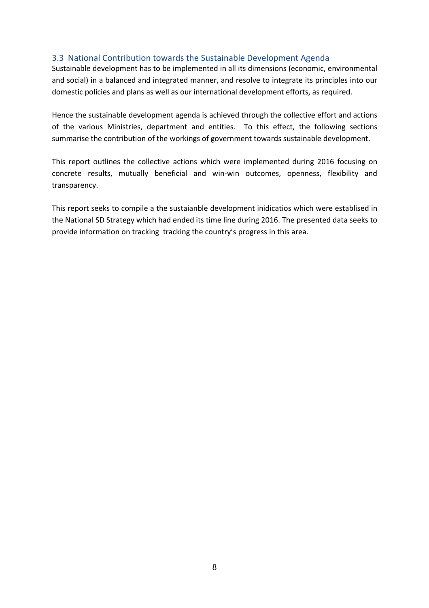#### 3.3 National Contribution towards the Sustainable Development Agenda

Sustainable development has to be implemented in all its dimensions (economic, environmental and social) in a balanced and integrated manner, and resolve to integrate its principles into our domestic policies and plans as well as our international development efforts, as required.

Hence the sustainable development agenda is achieved through the collective effort and actions of the various Ministries, department and entities. To this effect, the following sections summarise the contribution of the workings of government towards sustainable development.

This report outlines the collective actions which were implemented during 2016 focusing on concrete results, mutually beneficial and win-win outcomes, openness, flexibility and transparency.

This report seeks to compile a the sustaianble development inidicatios which were establised in the National SD Strategy which had ended its time line during 2016. The presented data seeks to provide information on tracking tracking the country's progress in this area.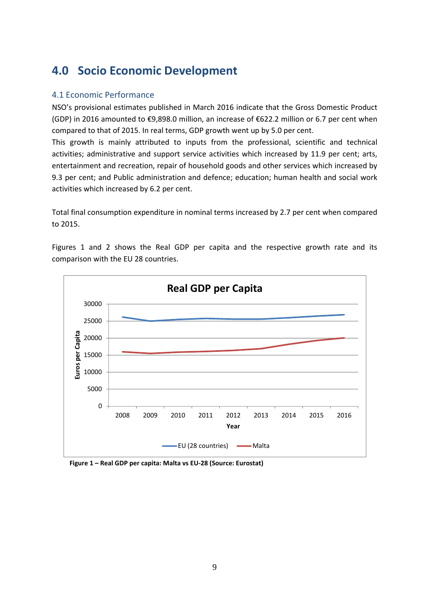# **4.0 Socio Economic Development**

### 4.1 Economic Performance

NSO's provisional estimates published in March 2016 indicate that the Gross Domestic Product (GDP) in 2016 amounted to €9,898.0 million, an increase of €622.2 million or 6.7 per cent when compared to that of 2015. In real terms, GDP growth went up by 5.0 per cent.

This growth is mainly attributed to inputs from the professional, scientific and technical activities; administrative and support service activities which increased by 11.9 per cent; arts, entertainment and recreation, repair of household goods and other services which increased by 9.3 per cent; and Public administration and defence; education; human health and social work activities which increased by 6.2 per cent.

Total final consumption expenditure in nominal terms increased by 2.7 per cent when compared to 2015.



Figures 1 and 2 shows the Real GDP per capita and the respective growth rate and its comparison with the EU 28 countries.

 **Figure 1 – Real GDP per capita: Malta vs EU-28 (Source: Eurostat)**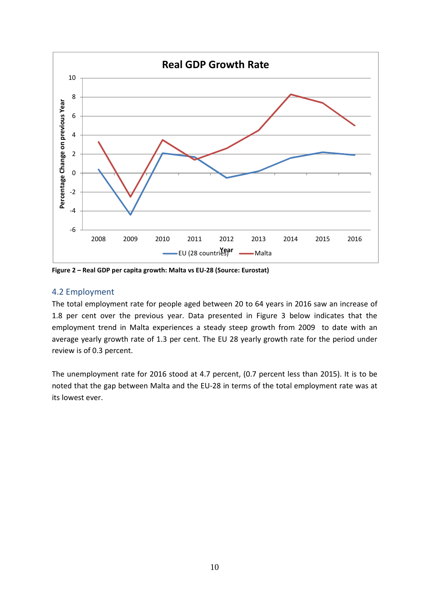

**Figure 2 – Real GDP per capita growth: Malta vs EU-28 (Source: Eurostat)** 

#### 4.2 Employment

The total employment rate for people aged between 20 to 64 years in 2016 saw an increase of 1.8 per cent over the previous year. Data presented in Figure 3 below indicates that the employment trend in Malta experiences a steady steep growth from 2009 to date with an average yearly growth rate of 1.3 per cent. The EU 28 yearly growth rate for the period under review is of 0.3 percent.

The unemployment rate for 2016 stood at 4.7 percent, (0.7 percent less than 2015). It is to be noted that the gap between Malta and the EU-28 in terms of the total employment rate was at its lowest ever.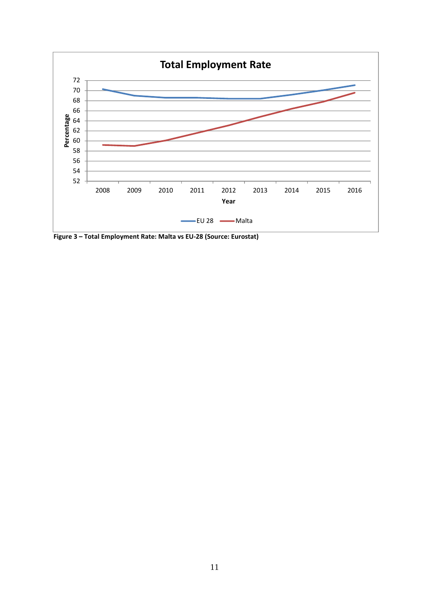

 **Figure 3 – Total Employment Rate: Malta vs EU-28 (Source: Eurostat)**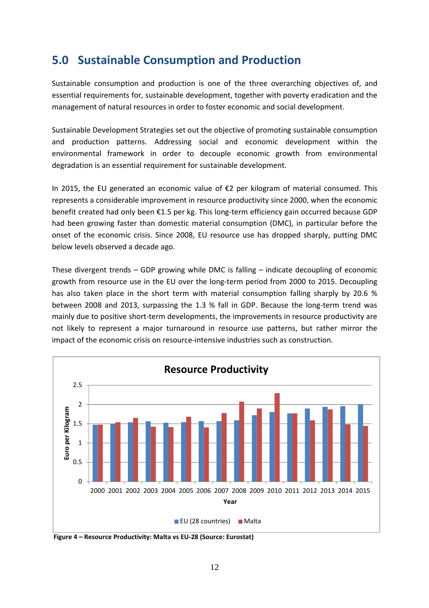# **5.0 Sustainable Consumption and Production**

Sustainable consumption and production is one of the three overarching objectives of, and essential requirements for, sustainable development, together with poverty eradication and the management of natural resources in order to foster economic and social development.

Sustainable Development Strategies set out the objective of promoting sustainable consumption and production patterns. Addressing social and economic development within the environmental framework in order to decouple economic growth from environmental degradation is an essential requirement for sustainable development.

In 2015, the EU generated an economic value of €2 per kilogram of material consumed. This represents a considerable improvement in resource productivity since 2000, when the economic benefit created had only been €1.5 per kg. This long-term efficiency gain occurred because GDP had been growing faster than domestic material consumption (DMC), in particular before the onset of the economic crisis. Since 2008, EU resource use has dropped sharply, putting DMC below levels observed a decade ago.

These divergent trends – GDP growing while DMC is falling – indicate decoupling of economic growth from resource use in the EU over the long-term period from 2000 to 2015. Decoupling has also taken place in the short term with material consumption falling sharply by 20.6 % between 2008 and 2013, surpassing the 1.3 % fall in GDP. Because the long-term trend was mainly due to positive short-term developments, the improvements in resource productivity are not likely to represent a major turnaround in resource use patterns, but rather mirror the impact of the economic crisis on resource-intensive industries such as construction.



 **Figure 4 – Resource Productivity: Malta vs EU-28 (Source: Eurostat)**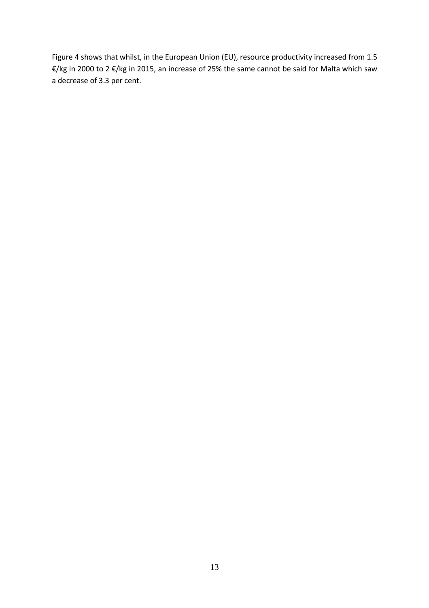Figure 4 shows that whilst, in the European Union (EU), resource productivity increased from 1.5 €/kg in 2000 to 2 €/kg in 2015, an increase of 25% the same cannot be said for Malta which saw a decrease of 3.3 per cent.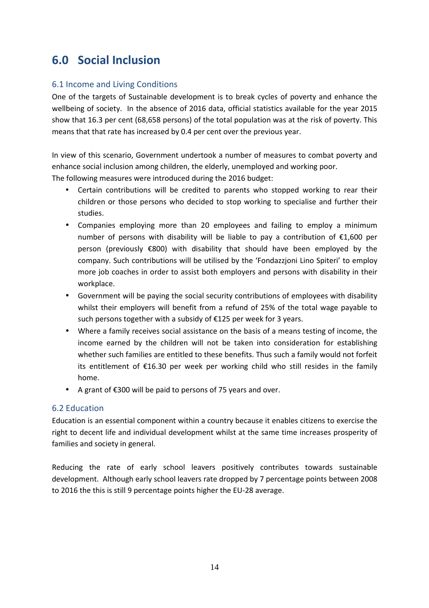# **6.0 Social Inclusion**

### 6.1 Income and Living Conditions

One of the targets of Sustainable development is to break cycles of poverty and enhance the wellbeing of society. In the absence of 2016 data, official statistics available for the year 2015 show that 16.3 per cent (68,658 persons) of the total population was at the risk of poverty. This means that that rate has increased by 0.4 per cent over the previous year.

In view of this scenario, Government undertook a number of measures to combat poverty and enhance social inclusion among children, the elderly, unemployed and working poor. The following measures were introduced during the 2016 budget:

- Certain contributions will be credited to parents who stopped working to rear their children or those persons who decided to stop working to specialise and further their studies.
- Companies employing more than 20 employees and failing to employ a minimum number of persons with disability will be liable to pay a contribution of  $\epsilon$ 1,600 per person (previously €800) with disability that should have been employed by the company. Such contributions will be utilised by the 'Fondazzjoni Lino Spiteri' to employ more job coaches in order to assist both employers and persons with disability in their workplace.
- Government will be paying the social security contributions of employees with disability whilst their employers will benefit from a refund of 25% of the total wage payable to such persons together with a subsidy of €125 per week for 3 years.
- Where a family receives social assistance on the basis of a means testing of income, the income earned by the children will not be taken into consideration for establishing whether such families are entitled to these benefits. Thus such a family would not forfeit its entitlement of €16.30 per week per working child who still resides in the family home.
- A grant of €300 will be paid to persons of 75 years and over.

### 6.2 Education

Education is an essential component within a country because it enables citizens to exercise the right to decent life and individual development whilst at the same time increases prosperity of families and society in general.

Reducing the rate of early school leavers positively contributes towards sustainable development. Although early school leavers rate dropped by 7 percentage points between 2008 to 2016 the this is still 9 percentage points higher the EU-28 average.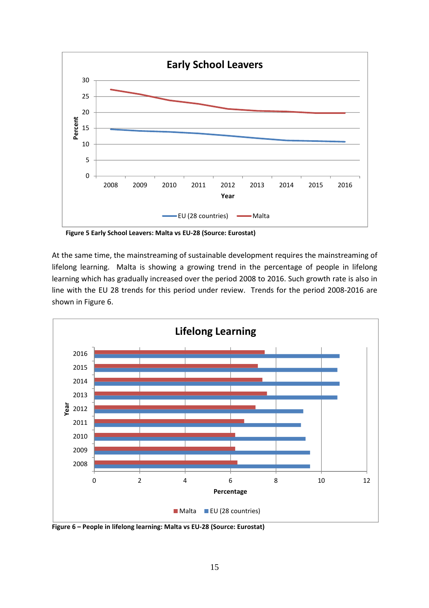

 **Figure 5 Early School Leavers: Malta vs EU-28 (Source: Eurostat)**

At the same time, the mainstreaming of sustainable development requires the mainstreaming of lifelong learning. Malta is showing a growing trend in the percentage of people in lifelong learning which has gradually increased over the period 2008 to 2016. Such growth rate is also in line with the EU 28 trends for this period under review. Trends for the period 2008-2016 are shown in Figure 6.



**Figure 6 – People in lifelong learning: Malta vs EU-28 (Source: Eurostat)**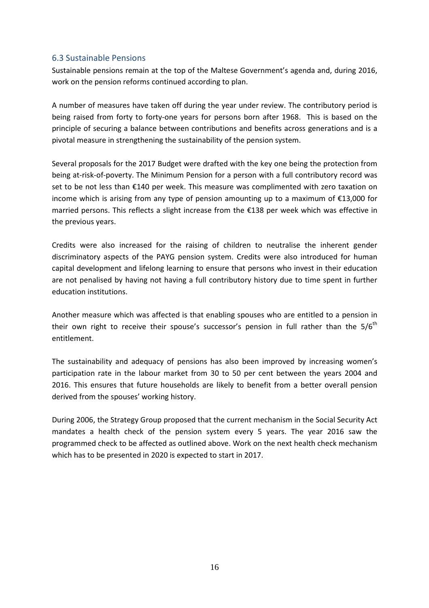#### 6.3 Sustainable Pensions

Sustainable pensions remain at the top of the Maltese Government's agenda and, during 2016, work on the pension reforms continued according to plan.

A number of measures have taken off during the year under review. The contributory period is being raised from forty to forty-one years for persons born after 1968. This is based on the principle of securing a balance between contributions and benefits across generations and is a pivotal measure in strengthening the sustainability of the pension system.

Several proposals for the 2017 Budget were drafted with the key one being the protection from being at-risk-of-poverty. The Minimum Pension for a person with a full contributory record was set to be not less than €140 per week. This measure was complimented with zero taxation on income which is arising from any type of pension amounting up to a maximum of €13,000 for married persons. This reflects a slight increase from the €138 per week which was effective in the previous years.

Credits were also increased for the raising of children to neutralise the inherent gender discriminatory aspects of the PAYG pension system. Credits were also introduced for human capital development and lifelong learning to ensure that persons who invest in their education are not penalised by having not having a full contributory history due to time spent in further education institutions.

Another measure which was affected is that enabling spouses who are entitled to a pension in their own right to receive their spouse's successor's pension in full rather than the  $5/6<sup>th</sup>$ entitlement.

The sustainability and adequacy of pensions has also been improved by increasing women's participation rate in the labour market from 30 to 50 per cent between the years 2004 and 2016. This ensures that future households are likely to benefit from a better overall pension derived from the spouses' working history.

During 2006, the Strategy Group proposed that the current mechanism in the Social Security Act mandates a health check of the pension system every 5 years. The year 2016 saw the programmed check to be affected as outlined above. Work on the next health check mechanism which has to be presented in 2020 is expected to start in 2017.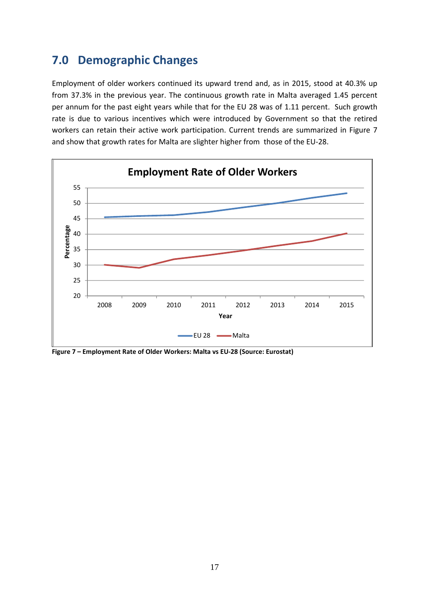# **7.0 Demographic Changes**

Employment of older workers continued its upward trend and, as in 2015, stood at 40.3% up from 37.3% in the previous year. The continuous growth rate in Malta averaged 1.45 percent per annum for the past eight years while that for the EU 28 was of 1.11 percent. Such growth rate is due to various incentives which were introduced by Government so that the retired workers can retain their active work participation. Current trends are summarized in Figure 7 and show that growth rates for Malta are slighter higher from those of the EU-28.



**Figure 7 – Employment Rate of Older Workers: Malta vs EU-28 (Source: Eurostat)**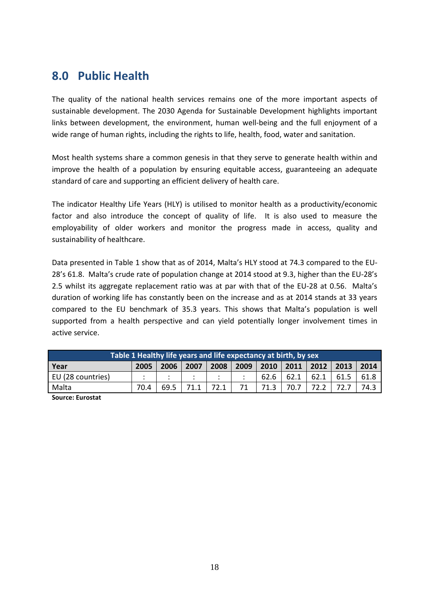# **8.0 Public Health**

The quality of the national health services remains one of the more important aspects of sustainable development. The 2030 Agenda for Sustainable Development highlights important links between development, the environment, human well-being and the full enjoyment of a wide range of human rights, including the rights to life, health, food, water and sanitation.

Most health systems share a common genesis in that they serve to generate health within and improve the health of a population by ensuring equitable access, guaranteeing an adequate standard of care and supporting an efficient delivery of health care.

The indicator Healthy Life Years (HLY) is utilised to monitor health as a productivity/economic factor and also introduce the concept of quality of life. It is also used to measure the employability of older workers and monitor the progress made in access, quality and sustainability of healthcare.

Data presented in Table 1 show that as of 2014, Malta's HLY stood at 74.3 compared to the EU-28's 61.8. Malta's crude rate of population change at 2014 stood at 9.3, higher than the EU-28's 2.5 whilst its aggregate replacement ratio was at par with that of the EU-28 at 0.56. Malta's duration of working life has constantly been on the increase and as at 2014 stands at 33 years compared to the EU benchmark of 35.3 years. This shows that Malta's population is well supported from a health perspective and can yield potentially longer involvement times in active service.

| Table 1 Healthy life years and life expectancy at birth, by sex               |  |  |  |  |  |      |      |      |      |      |
|-------------------------------------------------------------------------------|--|--|--|--|--|------|------|------|------|------|
| 2009<br>2013<br>$2010$   2011<br>2008<br>2005<br>2007<br>2012<br>2006<br>Year |  |  |  |  |  | 2014 |      |      |      |      |
| EU (28 countries)                                                             |  |  |  |  |  | 62.6 | 62.1 | 62.1 | 61.5 | 61.8 |
| Malta<br>72.1<br>70.7<br>70.4<br>69.5<br>71.1                                 |  |  |  |  |  |      |      | 74.3 |      |      |

**Source: Eurostat**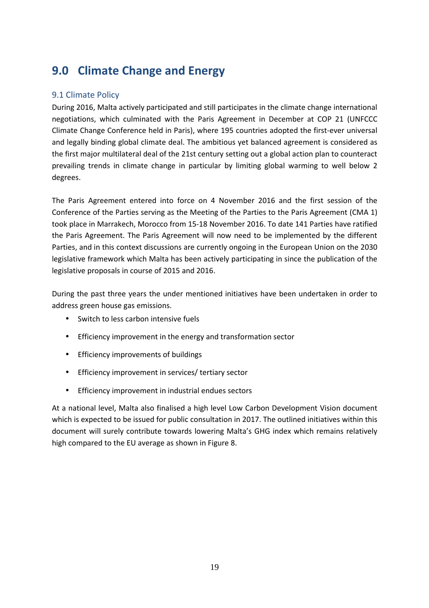# **9.0 Climate Change and Energy**

### 9.1 Climate Policy

During 2016, Malta actively participated and still participates in the climate change international negotiations, which culminated with the Paris Agreement in December at COP 21 (UNFCCC Climate Change Conference held in Paris), where 195 countries adopted the first-ever universal and legally binding global climate deal. The ambitious yet balanced agreement is considered as the first major multilateral deal of the 21st century setting out a global action plan to counteract prevailing trends in climate change in particular by limiting global warming to well below 2 degrees.

The Paris Agreement entered into force on 4 November 2016 and the first session of the Conference of the Parties serving as the Meeting of the Parties to the Paris Agreement (CMA 1) took place in Marrakech, Morocco from 15-18 November 2016. To date 141 Parties have ratified the Paris Agreement. The Paris Agreement will now need to be implemented by the different Parties, and in this context discussions are currently ongoing in the European Union on the 2030 legislative framework which Malta has been actively participating in since the publication of the legislative proposals in course of 2015 and 2016.

During the past three years the under mentioned initiatives have been undertaken in order to address green house gas emissions.

- Switch to less carbon intensive fuels
- Efficiency improvement in the energy and transformation sector
- Efficiency improvements of buildings
- Efficiency improvement in services/ tertiary sector
- Efficiency improvement in industrial endues sectors

At a national level, Malta also finalised a high level Low Carbon Development Vision document which is expected to be issued for public consultation in 2017. The outlined initiatives within this document will surely contribute towards lowering Malta's GHG index which remains relatively high compared to the EU average as shown in Figure 8.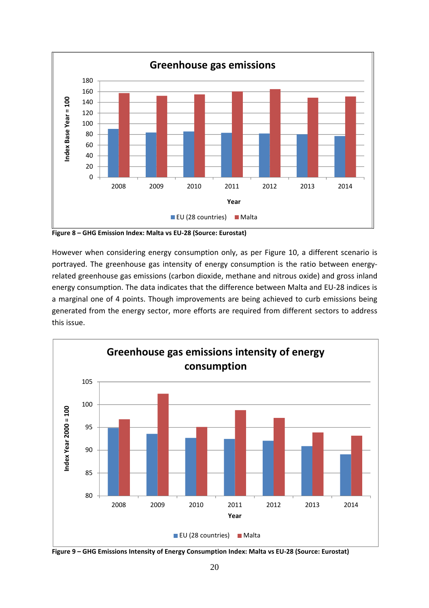

**Figure 8 – GHG Emission Index: Malta vs EU-28 (Source: Eurostat)** 

However when considering energy consumption only, as per Figure 10, a different scenario is portrayed. The greenhouse gas intensity of energy consumption is the ratio between energyrelated greenhouse gas emissions (carbon dioxide, methane and nitrous oxide) and gross inland energy consumption. The data indicates that the difference between Malta and EU-28 indices is a marginal one of 4 points. Though improvements are being achieved to curb emissions being generated from the energy sector, more efforts are required from different sectors to address this issue.



**Figure 9 – GHG Emissions Intensity of Energy Consumption Index: Malta vs EU-28 (Source: Eurostat)**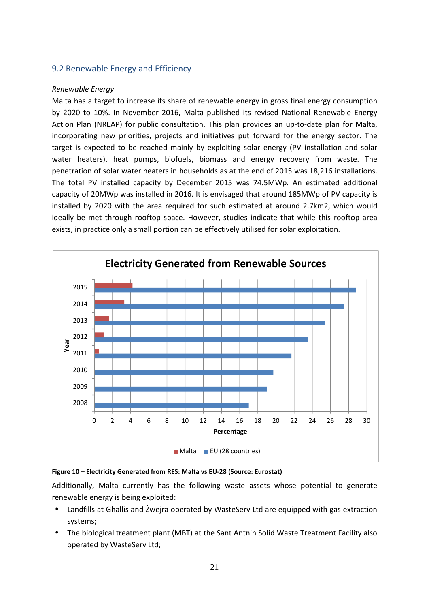### 9.2 Renewable Energy and Efficiency

#### *Renewable Energy*

Malta has a target to increase its share of renewable energy in gross final energy consumption by 2020 to 10%. In November 2016, Malta published its revised National Renewable Energy Action Plan (NREAP) for public consultation. This plan provides an up-to-date plan for Malta, incorporating new priorities, projects and initiatives put forward for the energy sector. The target is expected to be reached mainly by exploiting solar energy (PV installation and solar water heaters), heat pumps, biofuels, biomass and energy recovery from waste. The penetration of solar water heaters in households as at the end of 2015 was 18,216 installations. The total PV installed capacity by December 2015 was 74.5MWp. An estimated additional capacity of 20MWp was installed in 2016. It is envisaged that around 185MWp of PV capacity is installed by 2020 with the area required for such estimated at around 2.7km2, which would ideally be met through rooftop space. However, studies indicate that while this rooftop area exists, in practice only a small portion can be effectively utilised for solar exploitation.



**Figure 10 – Electricity Generated from RES: Malta vs EU-28 (Source: Eurostat)**

Additionally, Malta currently has the following waste assets whose potential to generate renewable energy is being exploited:

- Landfills at Għallis and Żwejra operated by WasteServ Ltd are equipped with gas extraction systems;
- The biological treatment plant (MBT) at the Sant Antnin Solid Waste Treatment Facility also operated by WasteServ Ltd;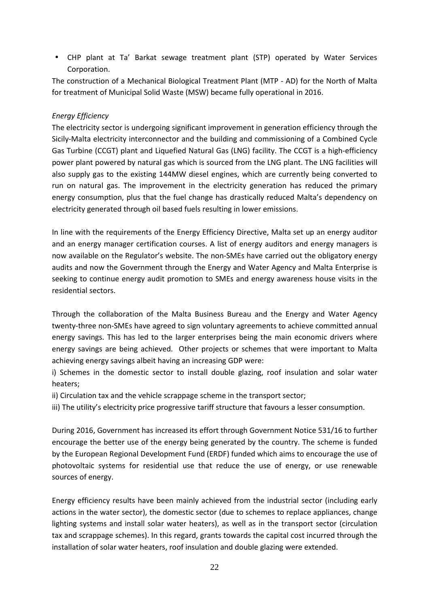• CHP plant at Ta' Barkat sewage treatment plant (STP) operated by Water Services Corporation.

The construction of a Mechanical Biological Treatment Plant (MTP - AD) for the North of Malta for treatment of Municipal Solid Waste (MSW) became fully operational in 2016.

#### *Energy Efficiency*

The electricity sector is undergoing significant improvement in generation efficiency through the Sicily-Malta electricity interconnector and the building and commissioning of a Combined Cycle Gas Turbine (CCGT) plant and Liquefied Natural Gas (LNG) facility. The CCGT is a high-efficiency power plant powered by natural gas which is sourced from the LNG plant. The LNG facilities will also supply gas to the existing 144MW diesel engines, which are currently being converted to run on natural gas. The improvement in the electricity generation has reduced the primary energy consumption, plus that the fuel change has drastically reduced Malta's dependency on electricity generated through oil based fuels resulting in lower emissions.

In line with the requirements of the Energy Efficiency Directive, Malta set up an energy auditor and an energy manager certification courses. A list of energy auditors and energy managers is now available on the Regulator's website. The non-SMEs have carried out the obligatory energy audits and now the Government through the Energy and Water Agency and Malta Enterprise is seeking to continue energy audit promotion to SMEs and energy awareness house visits in the residential sectors.

Through the collaboration of the Malta Business Bureau and the Energy and Water Agency twenty-three non-SMEs have agreed to sign voluntary agreements to achieve committed annual energy savings. This has led to the larger enterprises being the main economic drivers where energy savings are being achieved. Other projects or schemes that were important to Malta achieving energy savings albeit having an increasing GDP were:

i) Schemes in the domestic sector to install double glazing, roof insulation and solar water heaters;

ii) Circulation tax and the vehicle scrappage scheme in the transport sector;

iii) The utility's electricity price progressive tariff structure that favours a lesser consumption.

During 2016, Government has increased its effort through Government Notice 531/16 to further encourage the better use of the energy being generated by the country. The scheme is funded by the European Regional Development Fund (ERDF) funded which aims to encourage the use of photovoltaic systems for residential use that reduce the use of energy, or use renewable sources of energy.

Energy efficiency results have been mainly achieved from the industrial sector (including early actions in the water sector), the domestic sector (due to schemes to replace appliances, change lighting systems and install solar water heaters), as well as in the transport sector (circulation tax and scrappage schemes). In this regard, grants towards the capital cost incurred through the installation of solar water heaters, roof insulation and double glazing were extended.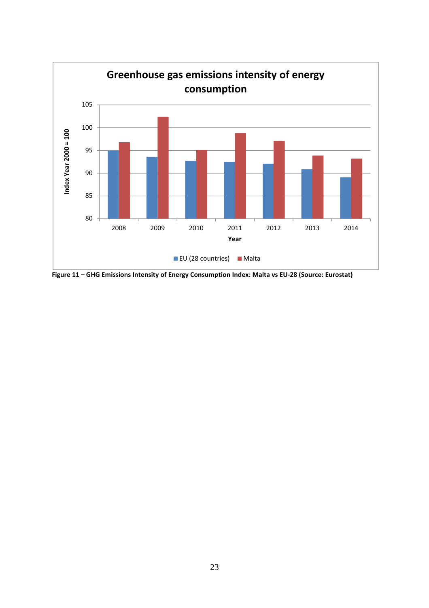

**Figure 11 – GHG Emissions Intensity of Energy Consumption Index: Malta vs EU-28 (Source: Eurostat)**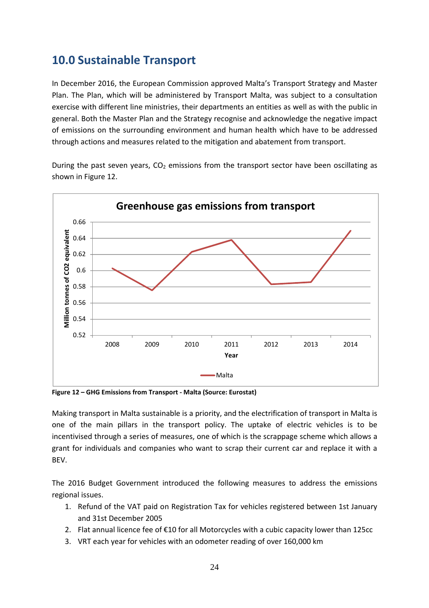# **10.0 Sustainable Transport**

In December 2016, the European Commission approved Malta's Transport Strategy and Master Plan. The Plan, which will be administered by Transport Malta, was subject to a consultation exercise with different line ministries, their departments an entities as well as with the public in general. Both the Master Plan and the Strategy recognise and acknowledge the negative impact of emissions on the surrounding environment and human health which have to be addressed through actions and measures related to the mitigation and abatement from transport.

During the past seven years,  $CO<sub>2</sub>$  emissions from the transport sector have been oscillating as shown in Figure 12.



**Figure 12 – GHG Emissions from Transport - Malta (Source: Eurostat)**

Making transport in Malta sustainable is a priority, and the electrification of transport in Malta is one of the main pillars in the transport policy. The uptake of electric vehicles is to be incentivised through a series of measures, one of which is the scrappage scheme which allows a grant for individuals and companies who want to scrap their current car and replace it with a BEV.

The 2016 Budget Government introduced the following measures to address the emissions regional issues.

- 1. Refund of the VAT paid on Registration Tax for vehicles registered between 1st January and 31st December 2005
- 2. Flat annual licence fee of €10 for all Motorcycles with a cubic capacity lower than 125cc
- 3. VRT each year for vehicles with an odometer reading of over 160,000 km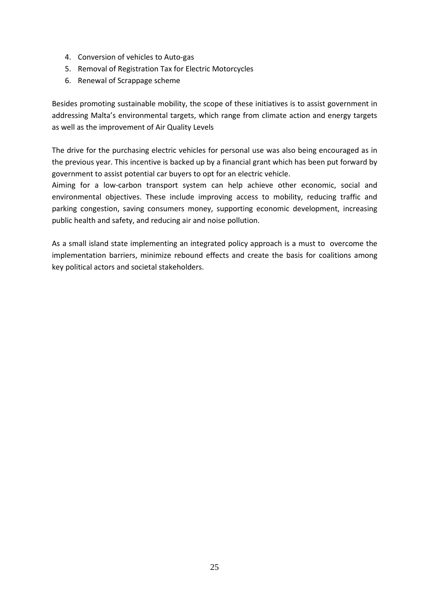- 4. Conversion of vehicles to Auto-gas
- 5. Removal of Registration Tax for Electric Motorcycles
- 6. Renewal of Scrappage scheme

Besides promoting sustainable mobility, the scope of these initiatives is to assist government in addressing Malta's environmental targets, which range from climate action and energy targets as well as the improvement of Air Quality Levels

The drive for the purchasing electric vehicles for personal use was also being encouraged as in the previous year. This incentive is backed up by a financial grant which has been put forward by government to assist potential car buyers to opt for an electric vehicle.

Aiming for a low-carbon transport system can help achieve other economic, social and environmental objectives. These include improving access to mobility, reducing traffic and parking congestion, saving consumers money, supporting economic development, increasing public health and safety, and reducing air and noise pollution.

As a small island state implementing an integrated policy approach is a must to overcome the implementation barriers, minimize rebound effects and create the basis for coalitions among key political actors and societal stakeholders.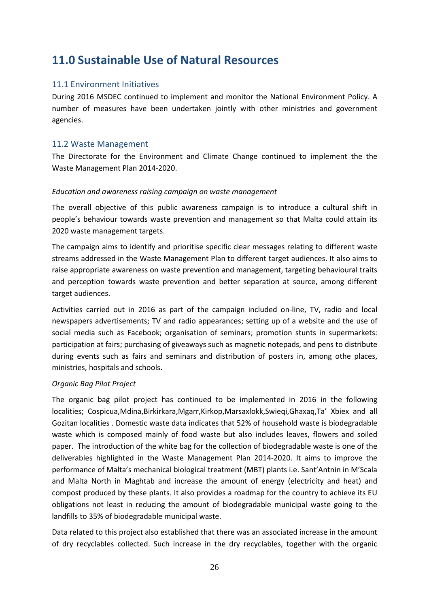# **11.0 Sustainable Use of Natural Resources**

#### 11.1 Environment Initiatives

During 2016 MSDEC continued to implement and monitor the National Environment Policy. A number of measures have been undertaken jointly with other ministries and government agencies.

#### 11.2 Waste Management

The Directorate for the Environment and Climate Change continued to implement the the Waste Management Plan 2014-2020.

#### *Education and awareness raising campaign on waste management*

The overall objective of this public awareness campaign is to introduce a cultural shift in people's behaviour towards waste prevention and management so that Malta could attain its 2020 waste management targets.

The campaign aims to identify and prioritise specific clear messages relating to different waste streams addressed in the Waste Management Plan to different target audiences. It also aims to raise appropriate awareness on waste prevention and management, targeting behavioural traits and perception towards waste prevention and better separation at source, among different target audiences.

Activities carried out in 2016 as part of the campaign included on-line, TV, radio and local newspapers advertisements; TV and radio appearances; setting up of a website and the use of social media such as Facebook; organisation of seminars; promotion stunts in supermarkets: participation at fairs; purchasing of giveaways such as magnetic notepads, and pens to distribute during events such as fairs and seminars and distribution of posters in, among othe places, ministries, hospitals and schools.

#### *Organic Bag Pilot Project*

The organic bag pilot project has continued to be implemented in 2016 in the following localities; Cospicua,Mdina,Birkirkara,Mgarr,Kirkop,Marsaxlokk,Swieqi,Ghaxaq,Ta' Xbiex and all Gozitan localities . Domestic waste data indicates that 52% of household waste is biodegradable waste which is composed mainly of food waste but also includes leaves, flowers and soiled paper. The introduction of the white bag for the collection of biodegradable waste is one of the deliverables highlighted in the Waste Management Plan 2014-2020. It aims to improve the performance of Malta's mechanical biological treatment (MBT) plants i.e. Sant'Antnin in M'Scala and Malta North in Maghtab and increase the amount of energy (electricity and heat) and compost produced by these plants. It also provides a roadmap for the country to achieve its EU obligations not least in reducing the amount of biodegradable municipal waste going to the landfills to 35% of biodegradable municipal waste.

Data related to this project also established that there was an associated increase in the amount of dry recyclables collected. Such increase in the dry recyclables, together with the organic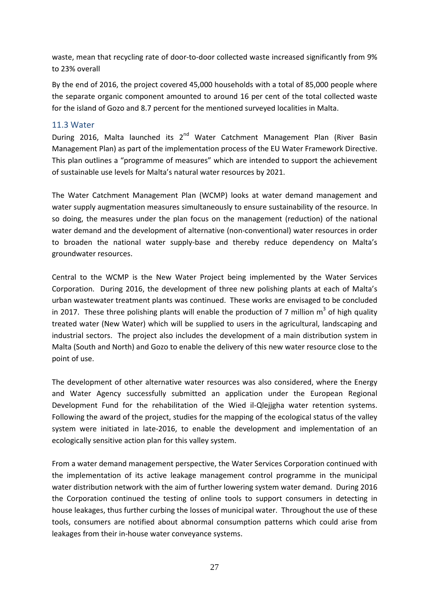waste, mean that recycling rate of door-to-door collected waste increased significantly from 9% to 23% overall

By the end of 2016, the project covered 45,000 households with a total of 85,000 people where the separate organic component amounted to around 16 per cent of the total collected waste for the island of Gozo and 8.7 percent for the mentioned surveyed localities in Malta.

#### 11.3 Water

During 2016, Malta launched its  $2^{nd}$  Water Catchment Management Plan (River Basin Management Plan) as part of the implementation process of the EU Water Framework Directive. This plan outlines a "programme of measures" which are intended to support the achievement of sustainable use levels for Malta's natural water resources by 2021.

The Water Catchment Management Plan (WCMP) looks at water demand management and water supply augmentation measures simultaneously to ensure sustainability of the resource. In so doing, the measures under the plan focus on the management (reduction) of the national water demand and the development of alternative (non-conventional) water resources in order to broaden the national water supply-base and thereby reduce dependency on Malta's groundwater resources.

Central to the WCMP is the New Water Project being implemented by the Water Services Corporation. During 2016, the development of three new polishing plants at each of Malta's urban wastewater treatment plants was continued. These works are envisaged to be concluded in 2017. These three polishing plants will enable the production of 7 million  $m^3$  of high quality treated water (New Water) which will be supplied to users in the agricultural, landscaping and industrial sectors. The project also includes the development of a main distribution system in Malta (South and North) and Gozo to enable the delivery of this new water resource close to the point of use.

The development of other alternative water resources was also considered, where the Energy and Water Agency successfully submitted an application under the European Regional Development Fund for the rehabilitation of the Wied il-Qlejjgha water retention systems. Following the award of the project, studies for the mapping of the ecological status of the valley system were initiated in late-2016, to enable the development and implementation of an ecologically sensitive action plan for this valley system.

From a water demand management perspective, the Water Services Corporation continued with the implementation of its active leakage management control programme in the municipal water distribution network with the aim of further lowering system water demand. During 2016 the Corporation continued the testing of online tools to support consumers in detecting in house leakages, thus further curbing the losses of municipal water. Throughout the use of these tools, consumers are notified about abnormal consumption patterns which could arise from leakages from their in-house water conveyance systems.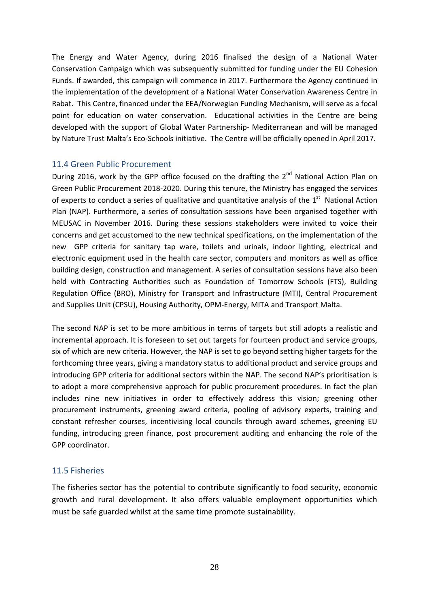The Energy and Water Agency, during 2016 finalised the design of a National Water Conservation Campaign which was subsequently submitted for funding under the EU Cohesion Funds. If awarded, this campaign will commence in 2017. Furthermore the Agency continued in the implementation of the development of a National Water Conservation Awareness Centre in Rabat. This Centre, financed under the EEA/Norwegian Funding Mechanism, will serve as a focal point for education on water conservation. Educational activities in the Centre are being developed with the support of Global Water Partnership- Mediterranean and will be managed by Nature Trust Malta's Eco-Schools initiative. The Centre will be officially opened in April 2017.

#### 11.4 Green Public Procurement

During 2016, work by the GPP office focused on the drafting the 2<sup>nd</sup> National Action Plan on Green Public Procurement 2018-2020. During this tenure, the Ministry has engaged the services of experts to conduct a series of qualitative and quantitative analysis of the  $1<sup>st</sup>$  National Action Plan (NAP). Furthermore, a series of consultation sessions have been organised together with MEUSAC in November 2016. During these sessions stakeholders were invited to voice their concerns and get accustomed to the new technical specifications, on the implementation of the new GPP criteria for sanitary tap ware, toilets and urinals, indoor lighting, electrical and electronic equipment used in the health care sector, computers and monitors as well as office building design, construction and management. A series of consultation sessions have also been held with Contracting Authorities such as Foundation of Tomorrow Schools (FTS), Building Regulation Office (BRO), Ministry for Transport and Infrastructure (MTI), Central Procurement and Supplies Unit (CPSU), Housing Authority, OPM-Energy, MITA and Transport Malta.

The second NAP is set to be more ambitious in terms of targets but still adopts a realistic and incremental approach. It is foreseen to set out targets for fourteen product and service groups, six of which are new criteria. However, the NAP is set to go beyond setting higher targets for the forthcoming three years, giving a mandatory status to additional product and service groups and introducing GPP criteria for additional sectors within the NAP. The second NAP's prioritisation is to adopt a more comprehensive approach for public procurement procedures. In fact the plan includes nine new initiatives in order to effectively address this vision; greening other procurement instruments, greening award criteria, pooling of advisory experts, training and constant refresher courses, incentivising local councils through award schemes, greening EU funding, introducing green finance, post procurement auditing and enhancing the role of the GPP coordinator.

### 11.5 Fisheries

The fisheries sector has the potential to contribute significantly to food security, economic growth and rural development. It also offers valuable employment opportunities which must be safe guarded whilst at the same time promote sustainability.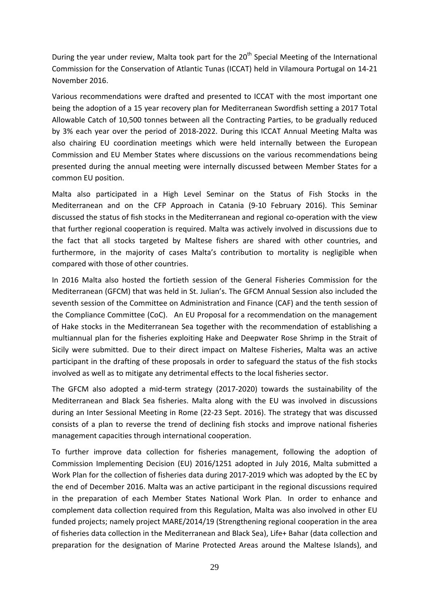During the year under review, Malta took part for the 20<sup>th</sup> Special Meeting of the International Commission for the Conservation of Atlantic Tunas (ICCAT) held in Vilamoura Portugal on 14-21 November 2016.

Various recommendations were drafted and presented to ICCAT with the most important one being the adoption of a 15 year recovery plan for Mediterranean Swordfish setting a 2017 Total Allowable Catch of 10,500 tonnes between all the Contracting Parties, to be gradually reduced by 3% each year over the period of 2018-2022. During this ICCAT Annual Meeting Malta was also chairing EU coordination meetings which were held internally between the European Commission and EU Member States where discussions on the various recommendations being presented during the annual meeting were internally discussed between Member States for a common EU position.

Malta also participated in a High Level Seminar on the Status of Fish Stocks in the Mediterranean and on the CFP Approach in Catania (9-10 February 2016). This Seminar discussed the status of fish stocks in the Mediterranean and regional co-operation with the view that further regional cooperation is required. Malta was actively involved in discussions due to the fact that all stocks targeted by Maltese fishers are shared with other countries, and furthermore, in the majority of cases Malta's contribution to mortality is negligible when compared with those of other countries.

In 2016 Malta also hosted the fortieth session of the General Fisheries Commission for the Mediterranean (GFCM) that was held in St. Julian's. The GFCM Annual Session also included the seventh session of the Committee on Administration and Finance (CAF) and the tenth session of the Compliance Committee (CoC). An EU Proposal for a recommendation on the management of Hake stocks in the Mediterranean Sea together with the recommendation of establishing a multiannual plan for the fisheries exploiting Hake and Deepwater Rose Shrimp in the Strait of Sicily were submitted. Due to their direct impact on Maltese Fisheries, Malta was an active participant in the drafting of these proposals in order to safeguard the status of the fish stocks involved as well as to mitigate any detrimental effects to the local fisheries sector.

The GFCM also adopted a mid-term strategy (2017-2020) towards the sustainability of the Mediterranean and Black Sea fisheries. Malta along with the EU was involved in discussions during an Inter Sessional Meeting in Rome (22-23 Sept. 2016). The strategy that was discussed consists of a plan to reverse the trend of declining fish stocks and improve national fisheries management capacities through international cooperation.

To further improve data collection for fisheries management, following the adoption of Commission Implementing Decision (EU) 2016/1251 adopted in July 2016, Malta submitted a Work Plan for the collection of fisheries data during 2017-2019 which was adopted by the EC by the end of December 2016. Malta was an active participant in the regional discussions required in the preparation of each Member States National Work Plan. In order to enhance and complement data collection required from this Regulation, Malta was also involved in other EU funded projects; namely project MARE/2014/19 (Strengthening regional cooperation in the area of fisheries data collection in the Mediterranean and Black Sea), Life+ Bahar (data collection and preparation for the designation of Marine Protected Areas around the Maltese Islands), and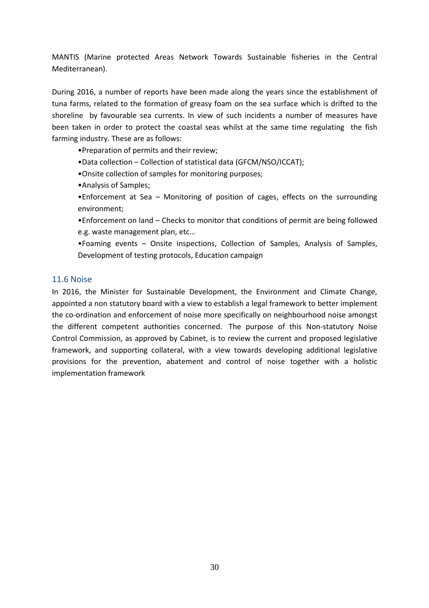MANTIS (Marine protected Areas Network Towards Sustainable fisheries in the Central Mediterranean).

During 2016, a number of reports have been made along the years since the establishment of tuna farms, related to the formation of greasy foam on the sea surface which is drifted to the shoreline by favourable sea currents. In view of such incidents a number of measures have been taken in order to protect the coastal seas whilst at the same time regulating the fish farming industry. These are as follows:

•Preparation of permits and their review;

- •Data collection Collection of statistical data (GFCM/NSO/ICCAT);
- •Onsite collection of samples for monitoring purposes;
- •Analysis of Samples;

•Enforcement at Sea – Monitoring of position of cages, effects on the surrounding environment;

•Enforcement on land – Checks to monitor that conditions of permit are being followed e.g. waste management plan, etc…

•Foaming events – Onsite inspections, Collection of Samples, Analysis of Samples, Development of testing protocols, Education campaign

#### 11.6 Noise

In 2016, the Minister for Sustainable Development, the Environment and Climate Change, appointed a non statutory board with a view to establish a legal framework to better implement the co-ordination and enforcement of noise more specifically on neighbourhood noise amongst the different competent authorities concerned. The purpose of this Non-statutory Noise Control Commission, as approved by Cabinet, is to review the current and proposed legislative framework, and supporting collateral, with a view towards developing additional legislative provisions for the prevention, abatement and control of noise together with a holistic implementation framework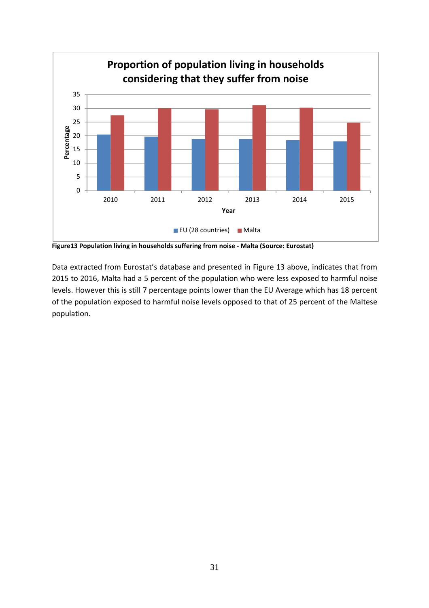

**Figure13 Population living in households suffering from noise - Malta (Source: Eurostat)** 

Data extracted from Eurostat's database and presented in Figure 13 above, indicates that from 2015 to 2016, Malta had a 5 percent of the population who were less exposed to harmful noise levels. However this is still 7 percentage points lower than the EU Average which has 18 percent of the population exposed to harmful noise levels opposed to that of 25 percent of the Maltese population.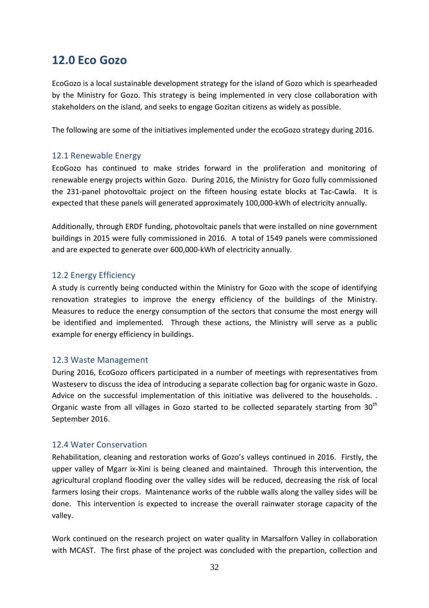### **12.0 Eco Gozo**

EcoGozo is a local sustainable development strategy for the island of Gozo which is spearheaded by the Ministry for Gozo. This strategy is being implemented in very close collaboration with stakeholders on the island, and seeks to engage Gozitan citizens as widely as possible.

The following are some of the initiatives implemented under the ecoGozo strategy during 2016.

#### 12.1 Renewable Energy

EcoGozo has continued to make strides forward in the proliferation and monitoring of renewable energy projects within Gozo. During 2016, the Ministry for Gozo fully commissioned the 231-panel photovoltaic project on the fifteen housing estate blocks at Tac-Cawla. It is expected that these panels will generated approximately 100,000-kWh of electricity annually.

Additionally, through ERDF funding, photovoltaic panels that were installed on nine government buildings in 2015 were fully commissioned in 2016. A total of 1549 panels were commissioned and are expected to generate over 600,000-kWh of electricity annually.

#### 12.2 Energy Efficiency

A study is currently being conducted within the Ministry for Gozo with the scope of identifying renovation strategies to improve the energy efficiency of the buildings of the Ministry. Measures to reduce the energy consumption of the sectors that consume the most energy will be identified and implemented. Through these actions, the Ministry will serve as a public example for energy efficiency in buildings.

#### 12.3 Waste Management

During 2016, EcoGozo officers participated in a number of meetings with representatives from Wasteserv to discuss the idea of introducing a separate collection bag for organic waste in Gozo. Advice on the successful implementation of this initiative was delivered to the households. . Organic waste from all villages in Gozo started to be collected separately starting from  $30<sup>th</sup>$ September 2016.

#### 12.4 Water Conservation

Rehabilitation, cleaning and restoration works of Gozo's valleys continued in 2016. Firstly, the upper valley of Mgarr ix-Xini is being cleaned and maintained. Through this intervention, the agricultural cropland flooding over the valley sides will be reduced, decreasing the risk of local farmers losing their crops. Maintenance works of the rubble walls along the valley sides will be done. This intervention is expected to increase the overall rainwater storage capacity of the valley.

Work continued on the research project on water quality in Marsalforn Valley in collaboration with MCAST. The first phase of the project was concluded with the prepartion, collection and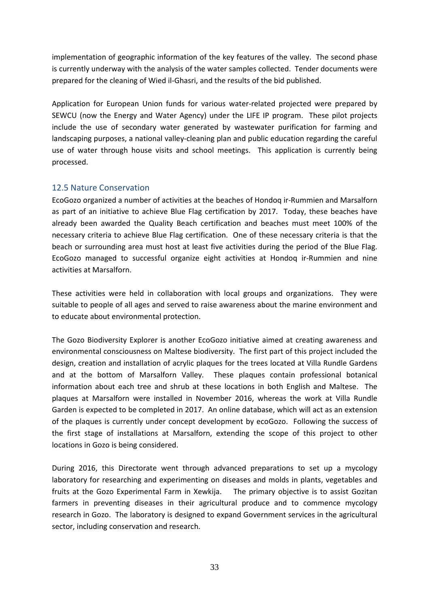implementation of geographic information of the key features of the valley. The second phase is currently underway with the analysis of the water samples collected. Tender documents were prepared for the cleaning of Wied il-Ghasri, and the results of the bid published.

Application for European Union funds for various water-related projected were prepared by SEWCU (now the Energy and Water Agency) under the LIFE IP program. These pilot projects include the use of secondary water generated by wastewater purification for farming and landscaping purposes, a national valley-cleaning plan and public education regarding the careful use of water through house visits and school meetings. This application is currently being processed.

### 12.5 Nature Conservation

EcoGozo organized a number of activities at the beaches of Hondoq ir-Rummien and Marsalforn as part of an initiative to achieve Blue Flag certification by 2017. Today, these beaches have already been awarded the Quality Beach certification and beaches must meet 100% of the necessary criteria to achieve Blue Flag certification. One of these necessary criteria is that the beach or surrounding area must host at least five activities during the period of the Blue Flag. EcoGozo managed to successful organize eight activities at Hondoq ir-Rummien and nine activities at Marsalforn.

These activities were held in collaboration with local groups and organizations. They were suitable to people of all ages and served to raise awareness about the marine environment and to educate about environmental protection.

The Gozo Biodiversity Explorer is another EcoGozo initiative aimed at creating awareness and environmental consciousness on Maltese biodiversity. The first part of this project included the design, creation and installation of acrylic plaques for the trees located at Villa Rundle Gardens and at the bottom of Marsalforn Valley. These plaques contain professional botanical information about each tree and shrub at these locations in both English and Maltese. The plaques at Marsalforn were installed in November 2016, whereas the work at Villa Rundle Garden is expected to be completed in 2017. An online database, which will act as an extension of the plaques is currently under concept development by ecoGozo. Following the success of the first stage of installations at Marsalforn, extending the scope of this project to other locations in Gozo is being considered.

During 2016, this Directorate went through advanced preparations to set up a mycology laboratory for researching and experimenting on diseases and molds in plants, vegetables and fruits at the Gozo Experimental Farm in Xewkija. The primary objective is to assist Gozitan farmers in preventing diseases in their agricultural produce and to commence mycology research in Gozo. The laboratory is designed to expand Government services in the agricultural sector, including conservation and research.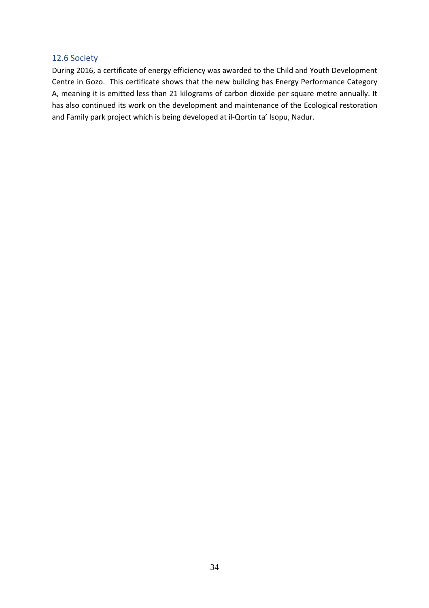#### 12.6 Society

During 2016, a certificate of energy efficiency was awarded to the Child and Youth Development Centre in Gozo. This certificate shows that the new building has Energy Performance Category A, meaning it is emitted less than 21 kilograms of carbon dioxide per square metre annually. It has also continued its work on the development and maintenance of the Ecological restoration and Family park project which is being developed at il-Qortin ta' Isopu, Nadur.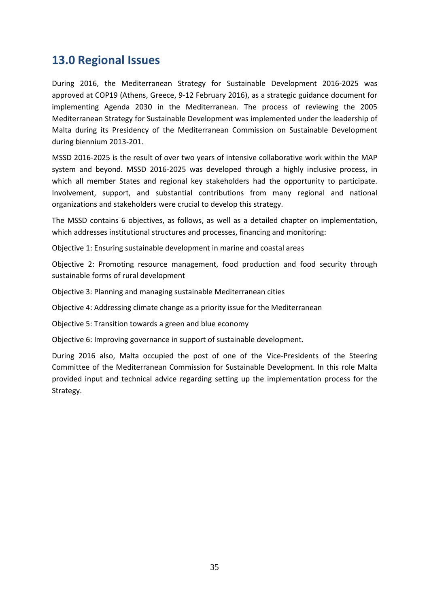# **13.0 Regional Issues**

During 2016, the Mediterranean Strategy for Sustainable Development 2016-2025 was approved at COP19 (Athens, Greece, 9-12 February 2016), as a strategic guidance document for implementing Agenda 2030 in the Mediterranean. The process of reviewing the 2005 Mediterranean Strategy for Sustainable Development was implemented under the leadership of Malta during its Presidency of the Mediterranean Commission on Sustainable Development during biennium 2013-201.

MSSD 2016-2025 is the result of over two years of intensive collaborative work within the MAP system and beyond. MSSD 2016-2025 was developed through a highly inclusive process, in which all member States and regional key stakeholders had the opportunity to participate. Involvement, support, and substantial contributions from many regional and national organizations and stakeholders were crucial to develop this strategy.

The MSSD contains 6 objectives, as follows, as well as a detailed chapter on implementation, which addresses institutional structures and processes, financing and monitoring:

Objective 1: Ensuring sustainable development in marine and coastal areas

Objective 2: Promoting resource management, food production and food security through sustainable forms of rural development

Objective 3: Planning and managing sustainable Mediterranean cities

Objective 4: Addressing climate change as a priority issue for the Mediterranean

Objective 5: Transition towards a green and blue economy

Objective 6: Improving governance in support of sustainable development.

During 2016 also, Malta occupied the post of one of the Vice-Presidents of the Steering Committee of the Mediterranean Commission for Sustainable Development. In this role Malta provided input and technical advice regarding setting up the implementation process for the Strategy.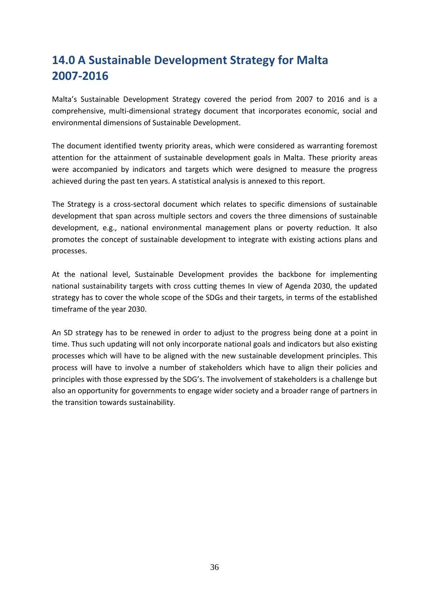# **14.0 A Sustainable Development Strategy for Malta 2007-2016**

Malta's Sustainable Development Strategy covered the period from 2007 to 2016 and is a comprehensive, multi-dimensional strategy document that incorporates economic, social and environmental dimensions of Sustainable Development.

The document identified twenty priority areas, which were considered as warranting foremost attention for the attainment of sustainable development goals in Malta. These priority areas were accompanied by indicators and targets which were designed to measure the progress achieved during the past ten years. A statistical analysis is annexed to this report.

The Strategy is a cross-sectoral document which relates to specific dimensions of sustainable development that span across multiple sectors and covers the three dimensions of sustainable development, e.g., national environmental management plans or poverty reduction. It also promotes the concept of sustainable development to integrate with existing actions plans and processes.

At the national level, Sustainable Development provides the backbone for implementing national sustainability targets with cross cutting themes In view of Agenda 2030, the updated strategy has to cover the whole scope of the SDGs and their targets, in terms of the established timeframe of the year 2030.

An SD strategy has to be renewed in order to adjust to the progress being done at a point in time. Thus such updating will not only incorporate national goals and indicators but also existing processes which will have to be aligned with the new sustainable development principles. This process will have to involve a number of stakeholders which have to align their policies and principles with those expressed by the SDG's. The involvement of stakeholders is a challenge but also an opportunity for governments to engage wider society and a broader range of partners in the transition towards sustainability.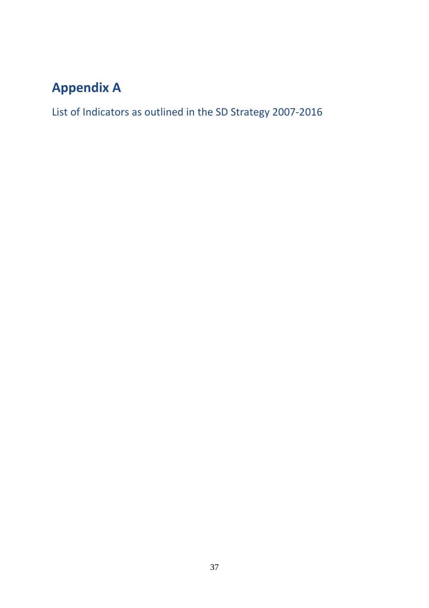# **Appendix A**

List of Indicators as outlined in the SD Strategy 2007-2016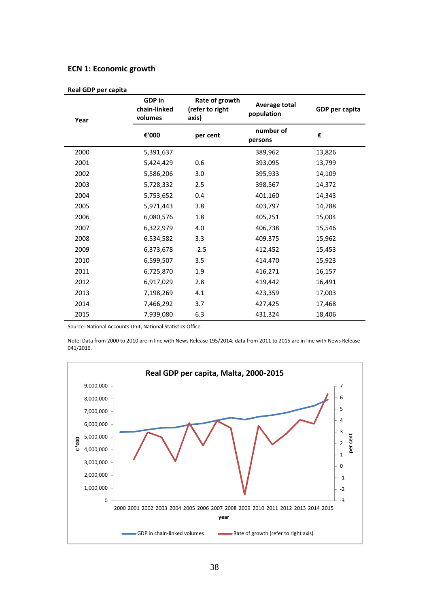#### **ECN 1: Economic growth**

| ncarapi pertapita |                                                                                        |          |                             |                |
|-------------------|----------------------------------------------------------------------------------------|----------|-----------------------------|----------------|
| Year              | <b>GDP</b> in<br>Rate of growth<br>chain-linked<br>(refer to right<br>volumes<br>axis) |          | Average total<br>population | GDP per capita |
|                   | €'000                                                                                  | per cent | number of<br>persons        | €              |
| 2000              | 5,391,637                                                                              |          | 389,962                     | 13,826         |
| 2001              | 5,424,429                                                                              | 0.6      | 393,095                     | 13,799         |
| 2002              | 5,586,206                                                                              | 3.0      | 395,933                     | 14,109         |
| 2003              | 5,728,332                                                                              | 2.5      | 398,567                     | 14,372         |
| 2004              | 5,753,652                                                                              | 0.4      | 401,160                     | 14,343         |
| 2005              | 5,971,443                                                                              | 3.8      | 403,797                     | 14,788         |
| 2006              | 6,080,576                                                                              | 1.8      | 405,251                     | 15,004         |
| 2007              | 6,322,979                                                                              | 4.0      | 406,738                     | 15,546         |
| 2008              | 6,534,582                                                                              | 3.3      | 409,375                     | 15,962         |
| 2009              | 6,373,678                                                                              | $-2.5$   | 412,452                     | 15,453         |
| 2010              | 6,599,507                                                                              | 3.5      | 414,470                     | 15,923         |
| 2011              | 6,725,870                                                                              | 1.9      | 416,271                     | 16,157         |
| 2012              | 6,917,029                                                                              | 2.8      | 419,442                     | 16,491         |
| 2013              | 7,198,269                                                                              | 4.1      | 423,359                     | 17,003         |
| 2014              | 7,466,292                                                                              | 3.7      | 427,425                     | 17,468         |
| 2015              | 7,939,080                                                                              | 6.3      | 431,324                     | 18,406         |

**Real GDP per capita** 

Source: National Accounts Unit, National Statistics Office

Note: Data from 2000 to 2010 are in line with News Release 195/2014; data from 2011 to 2015 are in line with News Release 041/2016.

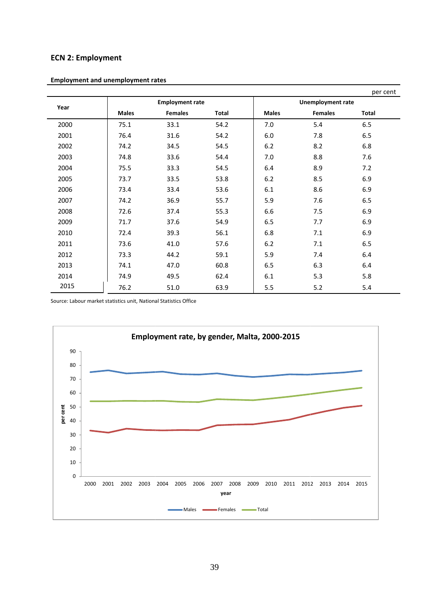### **ECN 2: Employment**

|      |              | <b>Employment rate</b> |       |              | <b>Unemployment rate</b> | per cent |
|------|--------------|------------------------|-------|--------------|--------------------------|----------|
| Year | <b>Males</b> | <b>Females</b>         | Total | <b>Males</b> | <b>Females</b>           | Total    |
| 2000 | 75.1         | 33.1                   | 54.2  | 7.0          | 5.4                      | 6.5      |
| 2001 | 76.4         | 31.6                   | 54.2  | 6.0          | 7.8                      | 6.5      |
| 2002 | 74.2         | 34.5                   | 54.5  | 6.2          | 8.2                      | 6.8      |
| 2003 | 74.8         | 33.6                   | 54.4  | 7.0          | 8.8                      | 7.6      |
| 2004 | 75.5         | 33.3                   | 54.5  | 6.4          | 8.9                      | 7.2      |
| 2005 | 73.7         | 33.5                   | 53.8  | 6.2          | 8.5                      | 6.9      |
| 2006 | 73.4         | 33.4                   | 53.6  | 6.1          | 8.6                      | 6.9      |
| 2007 | 74.2         | 36.9                   | 55.7  | 5.9          | 7.6                      | 6.5      |
| 2008 | 72.6         | 37.4                   | 55.3  | 6.6          | 7.5                      | 6.9      |
| 2009 | 71.7         | 37.6                   | 54.9  | 6.5          | 7.7                      | 6.9      |
| 2010 | 72.4         | 39.3                   | 56.1  | 6.8          | 7.1                      | 6.9      |
| 2011 | 73.6         | 41.0                   | 57.6  | 6.2          | 7.1                      | 6.5      |
| 2012 | 73.3         | 44.2                   | 59.1  | 5.9          | 7.4                      | 6.4      |
| 2013 | 74.1         | 47.0                   | 60.8  | 6.5          | 6.3                      | 6.4      |
| 2014 | 74.9         | 49.5                   | 62.4  | 6.1          | 5.3                      | 5.8      |
| 2015 | 76.2         | 51.0                   | 63.9  | 5.5          | 5.2                      | 5.4      |

**Employment and unemployment rates**

Source: Labour market statistics unit, National Statistics Office

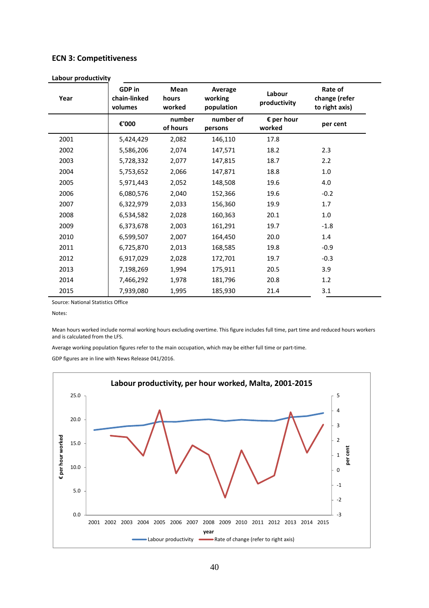#### **ECN 3: Competitiveness**

| Year | GDP in<br>chain-linked<br>volumes | Mean<br>hours<br>worked | Average<br>working<br>population | Labour<br>productivity | Rate of<br>change (refer<br>to right axis) |
|------|-----------------------------------|-------------------------|----------------------------------|------------------------|--------------------------------------------|
|      | €'000                             | number<br>of hours      | number of<br>persons             | € per hour<br>worked   | per cent                                   |
| 2001 | 5,424,429                         | 2,082                   | 146,110                          | 17.8                   |                                            |
| 2002 | 5,586,206                         | 2,074                   | 147,571                          | 18.2                   | 2.3                                        |
| 2003 | 5,728,332                         | 2,077                   | 147,815                          | 18.7                   | 2.2                                        |
| 2004 | 5,753,652                         | 2,066                   | 147,871                          | 18.8                   | $1.0\,$                                    |
| 2005 | 5,971,443                         | 2,052                   | 148,508                          | 19.6                   | 4.0                                        |
| 2006 | 6,080,576                         | 2,040                   | 152,366                          | 19.6                   | $-0.2$                                     |
| 2007 | 6,322,979                         | 2,033                   | 156,360                          | 19.9                   | 1.7                                        |
| 2008 | 6,534,582                         | 2,028                   | 160,363                          | 20.1                   | 1.0                                        |
| 2009 | 6,373,678                         | 2,003                   | 161,291                          | 19.7                   | $-1.8$                                     |
| 2010 | 6,599,507                         | 2,007                   | 164,450                          | 20.0                   | 1.4                                        |
| 2011 | 6,725,870                         | 2,013                   | 168,585                          | 19.8                   | $-0.9$                                     |
| 2012 | 6,917,029                         | 2,028                   | 172,701                          | 19.7                   | $-0.3$                                     |
| 2013 | 7,198,269                         | 1,994                   | 175,911                          | 20.5                   | 3.9                                        |
| 2014 | 7,466,292                         | 1,978                   | 181,796                          | 20.8                   | 1.2                                        |
| 2015 | 7,939,080                         | 1,995                   | 185,930                          | 21.4                   | 3.1                                        |

**Labour productivity** 

Source: National Statistics Office

Notes:

Mean hours worked include normal working hours excluding overtime. This figure includes full time, part time and reduced hours workers and is calculated from the LFS.

Average working population figures refer to the main occupation, which may be either full time or part-time.

GDP figures are in line with News Release 041/2016.

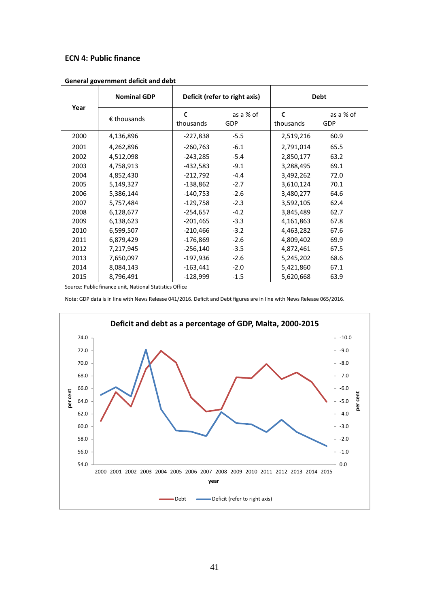#### **ECN 4: Public finance**

| Year | <b>Nominal GDP</b>   |                | Deficit (refer to right axis) | <b>Debt</b>    |                  |  |
|------|----------------------|----------------|-------------------------------|----------------|------------------|--|
|      | $\epsilon$ thousands | €<br>thousands | as a % of<br><b>GDP</b>       | €<br>thousands | as a % of<br>GDP |  |
| 2000 | 4,136,896            | -227,838       | $-5.5$                        | 2,519,216      | 60.9             |  |
| 2001 | 4,262,896            | $-260,763$     | $-6.1$                        | 2,791,014      | 65.5             |  |
| 2002 | 4,512,098            | $-243,285$     | $-5.4$                        | 2,850,177      | 63.2             |  |
| 2003 | 4,758,913            | $-432,583$     | $-9.1$                        | 3,288,495      | 69.1             |  |
| 2004 | 4,852,430            | $-212,792$     | $-4.4$                        | 3,492,262      | 72.0             |  |
| 2005 | 5,149,327            | $-138,862$     | $-2.7$                        | 3,610,124      | 70.1             |  |
| 2006 | 5,386,144            | $-140,753$     | $-2.6$                        | 3,480,277      | 64.6             |  |
| 2007 | 5,757,484            | $-129,758$     | $-2.3$                        | 3,592,105      | 62.4             |  |
| 2008 | 6,128,677            | $-254,657$     | $-4.2$                        | 3,845,489      | 62.7             |  |
| 2009 | 6,138,623            | $-201,465$     | $-3.3$                        | 4,161,863      | 67.8             |  |
| 2010 | 6,599,507            | $-210,466$     | $-3.2$                        | 4,463,282      | 67.6             |  |
| 2011 | 6,879,429            | $-176,869$     | $-2.6$                        | 4,809,402      | 69.9             |  |
| 2012 | 7,217,945            | $-256,140$     | $-3.5$                        | 4,872,461      | 67.5             |  |
| 2013 | 7,650,097            | -197,936       | $-2.6$                        | 5,245,202      | 68.6             |  |
| 2014 | 8,084,143            | $-163,441$     | $-2.0$                        | 5,421,860      | 67.1             |  |
| 2015 | 8,796,491            | $-128,999$     | $-1.5$                        | 5,620,668      | 63.9             |  |

**General government deficit and debt** 

Source: Public finance unit, National Statistics Office

Note: GDP data is in line with News Release 041/2016. Deficit and Debt figures are in line with News Release 065/2016.

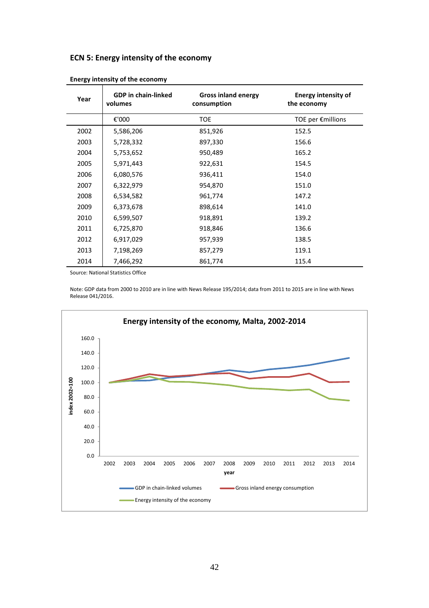### **ECN 5: Energy intensity of the economy**

| Year | <b>GDP</b> in chain-linked<br>volumes | <b>Gross inland energy</b><br>consumption | <b>Energy intensity of</b><br>the economy |
|------|---------------------------------------|-------------------------------------------|-------------------------------------------|
|      | €'000                                 | <b>TOE</b>                                | TOE per $\epsilon$ millions               |
| 2002 | 5,586,206                             | 851,926                                   | 152.5                                     |
| 2003 | 5,728,332                             | 897,330                                   | 156.6                                     |
| 2004 | 5,753,652                             | 950,489                                   | 165.2                                     |
| 2005 | 5,971,443                             | 922,631                                   | 154.5                                     |
| 2006 | 6,080,576                             | 936,411                                   | 154.0                                     |
| 2007 | 6,322,979                             | 954,870                                   | 151.0                                     |
| 2008 | 6,534,582                             | 961,774                                   | 147.2                                     |
| 2009 | 6,373,678                             | 898,614                                   | 141.0                                     |
| 2010 | 6,599,507                             | 918,891                                   | 139.2                                     |
| 2011 | 6,725,870                             | 918,846                                   | 136.6                                     |
| 2012 | 6,917,029                             | 957,939                                   | 138.5                                     |
| 2013 | 7,198,269                             | 857,279                                   | 119.1                                     |
| 2014 | 7,466,292                             | 861,774                                   | 115.4                                     |

|  | <b>Energy intensity of the economy</b> |
|--|----------------------------------------|
|--|----------------------------------------|

Source: National Statistics Office

Note: GDP data from 2000 to 2010 are in line with News Release 195/2014; data from 2011 to 2015 are in line with News Release 041/2016.

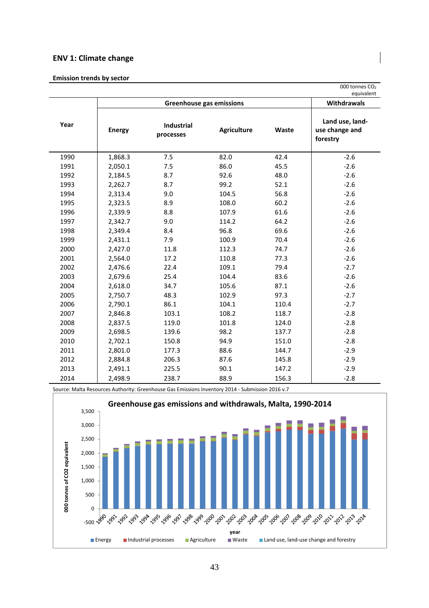#### **ENV 1: Climate change**

#### **Emission trends by sector**

|      |               |                                 |                    |       | equivalent                                    |  |  |
|------|---------------|---------------------------------|--------------------|-------|-----------------------------------------------|--|--|
|      |               | <b>Greenhouse gas emissions</b> |                    |       |                                               |  |  |
| Year | <b>Energy</b> | Industrial<br>processes         | <b>Agriculture</b> | Waste | Land use, land-<br>use change and<br>forestry |  |  |
| 1990 | 1,868.3       | 7.5                             | 82.0               | 42.4  | $-2.6$                                        |  |  |
| 1991 | 2,050.1       | 7.5                             | 86.0               | 45.5  | $-2.6$                                        |  |  |
| 1992 | 2,184.5       | 8.7                             | 92.6               | 48.0  | $-2.6$                                        |  |  |
| 1993 | 2,262.7       | 8.7                             | 99.2               | 52.1  | $-2.6$                                        |  |  |
| 1994 | 2,313.4       | 9.0                             | 104.5              | 56.8  | $-2.6$                                        |  |  |
| 1995 | 2,323.5       | 8.9                             | 108.0              | 60.2  | $-2.6$                                        |  |  |
| 1996 | 2,339.9       | 8.8                             | 107.9              | 61.6  | $-2.6$                                        |  |  |
| 1997 | 2,342.7       | 9.0                             | 114.2              | 64.2  | $-2.6$                                        |  |  |
| 1998 | 2,349.4       | 8.4                             | 96.8               | 69.6  | $-2.6$                                        |  |  |
| 1999 | 2,431.1       | 7.9                             | 100.9              | 70.4  | $-2.6$                                        |  |  |
| 2000 | 2,427.0       | 11.8                            | 112.3              | 74.7  | $-2.6$                                        |  |  |
| 2001 | 2,564.0       | 17.2                            | 110.8              | 77.3  | $-2.6$                                        |  |  |
| 2002 | 2,476.6       | 22.4                            | 109.1              | 79.4  | $-2.7$                                        |  |  |
| 2003 | 2,679.6       | 25.4                            | 104.4              | 83.6  | $-2.6$                                        |  |  |
| 2004 | 2,618.0       | 34.7                            | 105.6              | 87.1  | $-2.6$                                        |  |  |
| 2005 | 2,750.7       | 48.3                            | 102.9              | 97.3  | $-2.7$                                        |  |  |
| 2006 | 2,790.1       | 86.1                            | 104.1              | 110.4 | $-2.7$                                        |  |  |
| 2007 | 2,846.8       | 103.1                           | 108.2              | 118.7 | $-2.8$                                        |  |  |
| 2008 | 2,837.5       | 119.0                           | 101.8              | 124.0 | $-2.8$                                        |  |  |
| 2009 | 2,698.5       | 139.6                           | 98.2               | 137.7 | $-2.8$                                        |  |  |
| 2010 | 2,702.1       | 150.8                           | 94.9               | 151.0 | $-2.8$                                        |  |  |
| 2011 | 2,801.0       | 177.3                           | 88.6               | 144.7 | $-2.9$                                        |  |  |
| 2012 | 2,884.8       | 206.3                           | 87.6               | 145.8 | $-2.9$                                        |  |  |
| 2013 | 2,491.1       | 225.5                           | 90.1               | 147.2 | $-2.9$                                        |  |  |
| 2014 | 2,498.9       | 238.7                           | 88.9               | 156.3 | $-2.8$                                        |  |  |

Source: Malta Resources Authority: Greenhouse Gas Emissions Inventory 2014 - Submission 2016 v.7

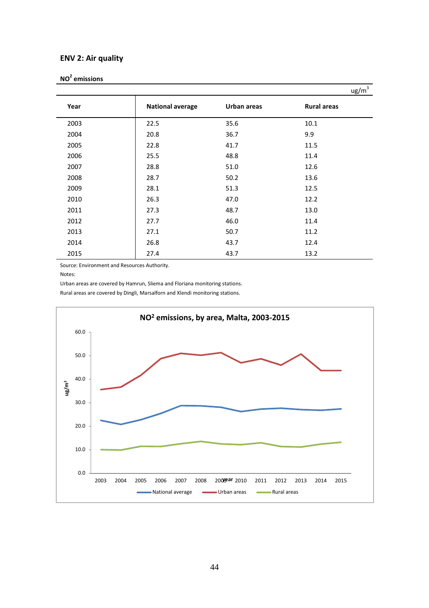#### **ENV 2: Air quality**

|      |                         |             | $\frac{ug}{m^3}$   |
|------|-------------------------|-------------|--------------------|
| Year | <b>National average</b> | Urban areas | <b>Rural areas</b> |
| 2003 | 22.5                    | 35.6        | 10.1               |
| 2004 | 20.8                    | 36.7        | 9.9                |
| 2005 | 22.8                    | 41.7        | 11.5               |
| 2006 | 25.5                    | 48.8        | 11.4               |
| 2007 | 28.8                    | 51.0        | 12.6               |
| 2008 | 28.7                    | 50.2        | 13.6               |
| 2009 | 28.1                    | 51.3        | 12.5               |
| 2010 | 26.3                    | 47.0        | 12.2               |
| 2011 | 27.3                    | 48.7        | 13.0               |
| 2012 | 27.7                    | 46.0        | 11.4               |
| 2013 | 27.1                    | 50.7        | 11.2               |
| 2014 | 26.8                    | 43.7        | 12.4               |
| 2015 | 27.4                    | 43.7        | 13.2               |

Source: Environment and Resources Authority.

Notes:

Urban areas are covered by Hamrun, Sliema and Floriana monitoring stations.

Rural areas are covered by Dingli, Marsalforn and Xlendi monitoring stations.

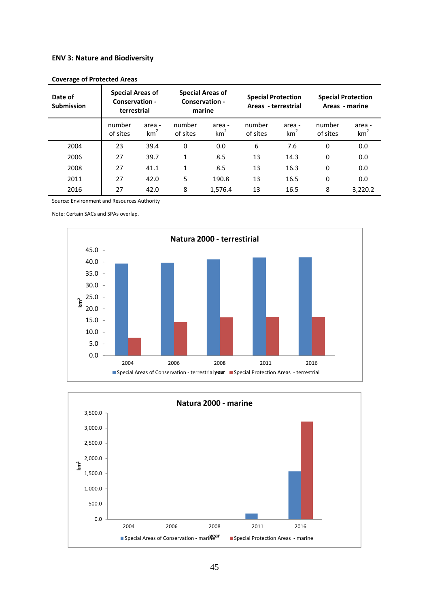#### **ENV 3: Nature and Biodiversity**

| Date of<br><b>Submission</b> | <b>Special Areas of</b><br>Conservation -<br>terrestrial |                           |                    | <b>Special Areas of</b><br>Conservation -<br>marine |                    | <b>Special Protection</b><br>Areas - terrestrial | <b>Special Protection</b><br>Areas - marine |                           |  |
|------------------------------|----------------------------------------------------------|---------------------------|--------------------|-----------------------------------------------------|--------------------|--------------------------------------------------|---------------------------------------------|---------------------------|--|
|                              | number<br>of sites                                       | area -<br>km <sup>2</sup> | number<br>of sites | area -<br>km <sup>2</sup>                           | number<br>of sites | area -<br>km <sup>2</sup>                        | number<br>of sites                          | area -<br>km <sup>2</sup> |  |
| 2004                         | 23                                                       | 39.4                      | 0                  | 0.0                                                 | 6                  | 7.6                                              | 0                                           | 0.0                       |  |
| 2006                         | 27                                                       | 39.7                      | $\mathbf{1}$       | 8.5                                                 | 13                 | 14.3                                             | 0                                           | 0.0                       |  |
| 2008                         | 27                                                       | 41.1                      | 1                  | 8.5                                                 | 13                 | 16.3                                             | 0                                           | 0.0                       |  |
| 2011                         | 27                                                       | 42.0                      | 5                  | 190.8                                               | 13                 | 16.5                                             | 0                                           | 0.0                       |  |
| 2016                         | 27                                                       | 42.0                      | 8                  | 1,576.4                                             | 13                 | 16.5                                             | 8                                           | 3,220.2                   |  |

**Coverage of Protected Areas** 

Source: Environment and Resources Authority

Note: Certain SACs and SPAs overlap.



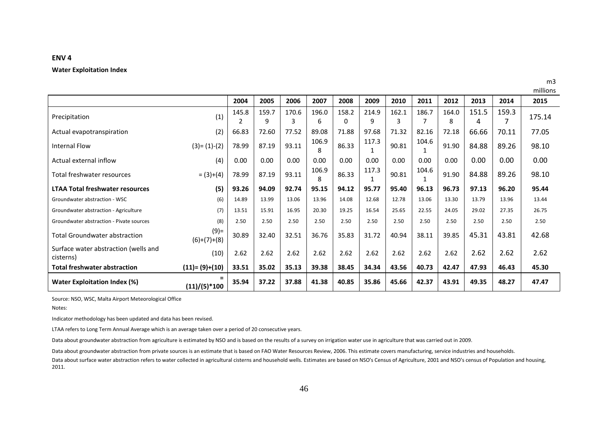|                                                   |                          |       |            |            |            |                   |            |            |       |            |            |       | millions |
|---------------------------------------------------|--------------------------|-------|------------|------------|------------|-------------------|------------|------------|-------|------------|------------|-------|----------|
|                                                   |                          | 2004  | 2005       | 2006       | 2007       | 2008              | 2009       | 2010       | 2011  | 2012       | 2013       | 2014  | 2015     |
| Precipitation                                     | (1)                      | 145.8 | 159.7<br>9 | 170.6<br>3 | 196.0<br>6 | 158.2<br>$\Omega$ | 214.9<br>9 | 162.1<br>3 | 186.7 | 164.0<br>8 | 151.5<br>4 | 159.3 | 175.14   |
| Actual evapotranspiration                         | (2)                      | 66.83 | 72.60      | 77.52      | 89.08      | 71.88             | 97.68      | 71.32      | 82.16 | 72.18      | 66.66      | 70.11 | 77.05    |
| <b>Internal Flow</b>                              | $(3)=(1)-(2)$            | 78.99 | 87.19      | 93.11      | 106.9<br>8 | 86.33             | 117.3      | 90.81      | 104.6 | 91.90      | 84.88      | 89.26 | 98.10    |
| Actual external inflow                            | (4)                      | 0.00  | 0.00       | 0.00       | 0.00       | 0.00              | 0.00       | 0.00       | 0.00  | 0.00       | 0.00       | 0.00  | 0.00     |
| Total freshwater resources                        | $= (3)+(4)$              | 78.99 | 87.19      | 93.11      | 106.9<br>8 | 86.33             | 117.3      | 90.81      | 104.6 | 91.90      | 84.88      | 89.26 | 98.10    |
| <b>LTAA Total freshwater resources</b>            | (5)                      | 93.26 | 94.09      | 92.74      | 95.15      | 94.12             | 95.77      | 95.40      | 96.13 | 96.73      | 97.13      | 96.20 | 95.44    |
| Groundwater abstraction - WSC                     | (6)                      | 14.89 | 13.99      | 13.06      | 13.96      | 14.08             | 12.68      | 12.78      | 13.06 | 13.30      | 13.79      | 13.96 | 13.44    |
| Groundwater abstraction - Agriculture             | (7)                      | 13.51 | 15.91      | 16.95      | 20.30      | 19.25             | 16.54      | 25.65      | 22.55 | 24.05      | 29.02      | 27.35 | 26.75    |
| Groundwater abstraction - Pivate sources          | (8)                      | 2.50  | 2.50       | 2.50       | 2.50       | 2.50              | 2.50       | 2.50       | 2.50  | 2.50       | 2.50       | 2.50  | 2.50     |
| <b>Total Groundwater abstraction</b>              | $(9) =$<br>$(6)+(7)+(8)$ | 30.89 | 32.40      | 32.51      | 36.76      | 35.83             | 31.72      | 40.94      | 38.11 | 39.85      | 45.31      | 43.81 | 42.68    |
| Surface water abstraction (wells and<br>cisterns) | (10)                     | 2.62  | 2.62       | 2.62       | 2.62       | 2.62              | 2.62       | 2.62       | 2.62  | 2.62       | 2.62       | 2.62  | 2.62     |
| <b>Total freshwater abstraction</b>               | $(11)=(9)+(10)$          | 33.51 | 35.02      | 35.13      | 39.38      | 38.45             | 34.34      | 43.56      | 40.73 | 42.47      | 47.93      | 46.43 | 45.30    |
| Water Exploitation Index (%)                      | $=$<br>$(11)/(5)$ * 100  | 35.94 | 37.22      | 37.88      | 41.38      | 40.85             | 35.86      | 45.66      | 42.37 | 43.91      | 49.35      | 48.27 | 47.47    |

m3

**ENV 4** 

**Water Exploitation Index** 

Source: NSO, WSC, Malta Airport Meteorological Office

Notes:

Indicator methodology has been updated and data has been revised.

LTAA refers to Long Term Annual Average which is an average taken over a period of 20 consecutive years.

Data about groundwater abstraction from agriculture is estimated by NSO and is based on the results of a survey on irrigation water use in agriculture that was carried out in 2009.

Data about groundwater abstraction from private sources is an estimate that is based on FAO Water Resources Review, 2006. This estimate covers manufacturing, service industries and households.

Data about surface water abstraction refers to water collected in agricultural cisterns and household wells. Estimates are based on NSO's Census of Agriculture, 2001 and NSO's census of Population and housing, 2011.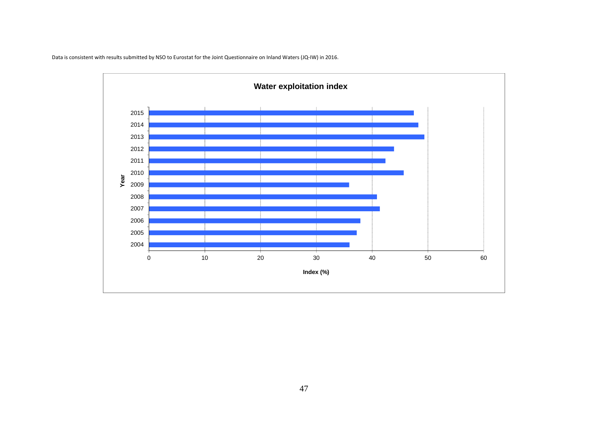

Data is consistent with results submitted by NSO to Eurostat for the Joint Questionnaire on Inland Waters (JQ-IW) in 2016.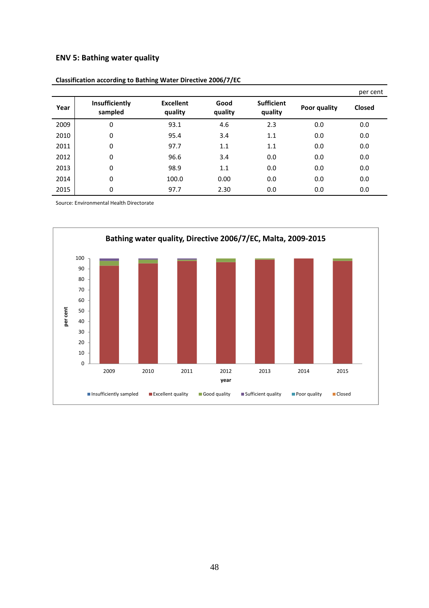### **ENV 5: Bathing water quality**

|      |                           |                             |                 |                              |              | per cent      |
|------|---------------------------|-----------------------------|-----------------|------------------------------|--------------|---------------|
| Year | Insufficiently<br>sampled | <b>Excellent</b><br>quality | Good<br>quality | <b>Sufficient</b><br>quality | Poor quality | <b>Closed</b> |
| 2009 | 0                         | 93.1                        | 4.6             | 2.3                          | 0.0          | 0.0           |
| 2010 | 0                         | 95.4                        | 3.4             | 1.1                          | 0.0          | 0.0           |
| 2011 | 0                         | 97.7                        | 1.1             | 1.1                          | 0.0          | 0.0           |
| 2012 | 0                         | 96.6                        | 3.4             | 0.0                          | 0.0          | 0.0           |
| 2013 | 0                         | 98.9                        | 1.1             | 0.0                          | 0.0          | 0.0           |
| 2014 | 0                         | 100.0                       | 0.00            | 0.0                          | 0.0          | 0.0           |
| 2015 | 0                         | 97.7                        | 2.30            | 0.0                          | 0.0          | 0.0           |

**Classification according to Bathing Water Directive 2006/7/EC** 

Source: Environmental Health Directorate

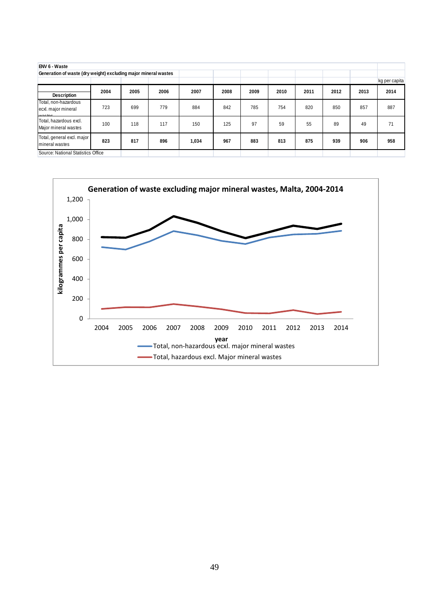| ENV 6 - Waste                                                   |      |      |      |       |      |      |      |      |      |      |               |
|-----------------------------------------------------------------|------|------|------|-------|------|------|------|------|------|------|---------------|
| Generation of waste (dry weight) excluding major mineral wastes |      |      |      |       |      |      |      |      |      |      |               |
|                                                                 |      |      |      |       |      |      |      |      |      |      | kg per capita |
| Description                                                     | 2004 | 2005 | 2006 | 2007  | 2008 | 2009 | 2010 | 2011 | 2012 | 2013 | 2014          |
| Total, non-hazardous<br>ecxl. major mineral<br>wooten           | 723  | 699  | 779  | 884   | 842  | 785  | 754  | 820  | 850  | 857  | 887           |
| Total, hazardous excl.<br>Major mineral wastes                  | 100  | 118  | 117  | 150   | 125  | 97   | 59   | 55   | 89   | 49   | 71            |
| Total, general excl. major<br>mineral wastes                    | 823  | 817  | 896  | 1,034 | 967  | 883  | 813  | 875  | 939  | 906  | 958           |
| Source: National Statistics Office                              |      |      |      |       |      |      |      |      |      |      |               |

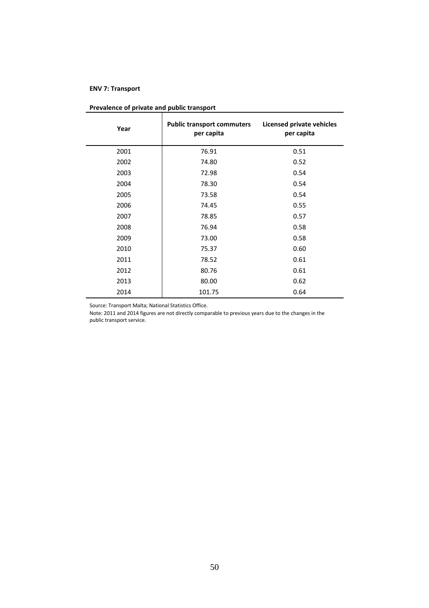#### **ENV 7: Transport**

| Year | <b>Public transport commuters</b><br>per capita | <b>Licensed private vehicles</b><br>per capita |
|------|-------------------------------------------------|------------------------------------------------|
| 2001 | 76.91                                           | 0.51                                           |
| 2002 | 74.80                                           | 0.52                                           |
| 2003 | 72.98                                           | 0.54                                           |
| 2004 | 78.30                                           | 0.54                                           |
| 2005 | 73.58                                           | 0.54                                           |
| 2006 | 74.45                                           | 0.55                                           |
| 2007 | 78.85                                           | 0.57                                           |
| 2008 | 76.94                                           | 0.58                                           |
| 2009 | 73.00                                           | 0.58                                           |
| 2010 | 75.37                                           | 0.60                                           |
| 2011 | 78.52                                           | 0.61                                           |
| 2012 | 80.76                                           | 0.61                                           |
| 2013 | 80.00                                           | 0.62                                           |
| 2014 | 101.75                                          | 0.64                                           |

#### **Prevalence of private and public transport**

Source: Transport Malta; National Statistics Office.

Note: 2011 and 2014 figures are not directly comparable to previous years due to the changes in the public transport service.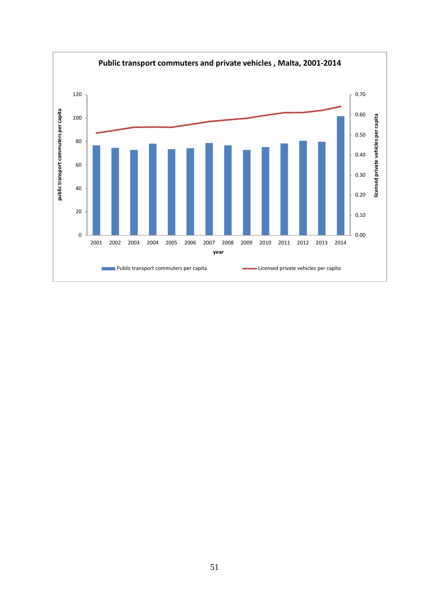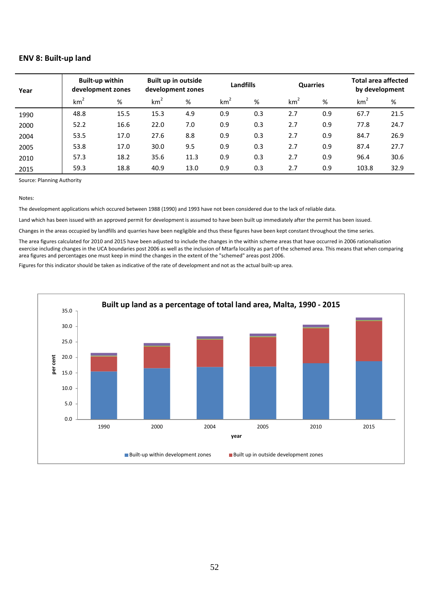#### **ENV 8: Built-up land**

| Year | <b>Built-up within</b><br>development zones |      | Built up in outside<br>development zones |      | <b>Landfills</b> |     | <b>Quarries</b> |     |                 | <b>Total area affected</b><br>by development |  |
|------|---------------------------------------------|------|------------------------------------------|------|------------------|-----|-----------------|-----|-----------------|----------------------------------------------|--|
|      | km <sup>2</sup>                             | %    | km <sup>2</sup>                          | %    | km <sup>2</sup>  | %   | km <sup>2</sup> | %   | km <sup>2</sup> | %                                            |  |
| 1990 | 48.8                                        | 15.5 | 15.3                                     | 4.9  | 0.9              | 0.3 | 2.7             | 0.9 | 67.7            | 21.5                                         |  |
| 2000 | 52.2                                        | 16.6 | 22.0                                     | 7.0  | 0.9              | 0.3 | 2.7             | 0.9 | 77.8            | 24.7                                         |  |
| 2004 | 53.5                                        | 17.0 | 27.6                                     | 8.8  | 0.9              | 0.3 | 2.7             | 0.9 | 84.7            | 26.9                                         |  |
| 2005 | 53.8                                        | 17.0 | 30.0                                     | 9.5  | 0.9              | 0.3 | 2.7             | 0.9 | 87.4            | 27.7                                         |  |
| 2010 | 57.3                                        | 18.2 | 35.6                                     | 11.3 | 0.9              | 0.3 | 2.7             | 0.9 | 96.4            | 30.6                                         |  |
| 2015 | 59.3                                        | 18.8 | 40.9                                     | 13.0 | 0.9              | 0.3 | 2.7             | 0.9 | 103.8           | 32.9                                         |  |

Source: Planning Authority

#### Notes:

The development applications which occured between 1988 (1990) and 1993 have not been considered due to the lack of reliable data.

Land which has been issued with an approved permit for development is assumed to have been built up immediately after the permit has been issued.

Changes in the areas occupied by landfills and quarries have been negligible and thus these figures have been kept constant throughout the time series.

The area figures calculated for 2010 and 2015 have been adjusted to include the changes in the within scheme areas that have occurred in 2006 rationalisation exercise including changes in the UCA boundaries post 2006 as well as the inclusion of Mtarfa locality as part of the schemed area. This means that when comparing area figures and percentages one must keep in mind the changes in the extent of the "schemed" areas post 2006.

Figures for this indicator should be taken as indicative of the rate of development and not as the actual built-up area.

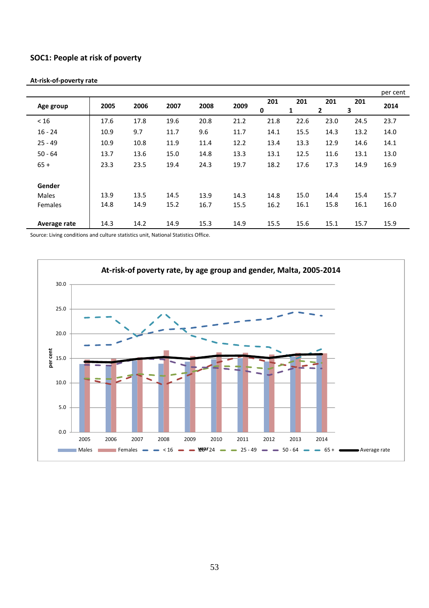### **SOC1: People at risk of poverty**

|              |      |      |      |      |      |          |          |                     |          | per cent |
|--------------|------|------|------|------|------|----------|----------|---------------------|----------|----------|
| Age group    | 2005 | 2006 | 2007 | 2008 | 2009 | 201<br>0 | 201<br>1 | 201<br>$\mathbf{2}$ | 201<br>3 | 2014     |
| < 16         | 17.6 | 17.8 | 19.6 | 20.8 | 21.2 | 21.8     | 22.6     | 23.0                | 24.5     | 23.7     |
| $16 - 24$    | 10.9 | 9.7  | 11.7 | 9.6  | 11.7 | 14.1     | 15.5     | 14.3                | 13.2     | 14.0     |
| $25 - 49$    | 10.9 | 10.8 | 11.9 | 11.4 | 12.2 | 13.4     | 13.3     | 12.9                | 14.6     | 14.1     |
| $50 - 64$    | 13.7 | 13.6 | 15.0 | 14.8 | 13.3 | 13.1     | 12.5     | 11.6                | 13.1     | 13.0     |
| $65 +$       | 23.3 | 23.5 | 19.4 | 24.3 | 19.7 | 18.2     | 17.6     | 17.3                | 14.9     | 16.9     |
| Gender       |      |      |      |      |      |          |          |                     |          |          |
| <b>Males</b> | 13.9 | 13.5 | 14.5 | 13.9 | 14.3 | 14.8     | 15.0     | 14.4                | 15.4     | 15.7     |
| Females      | 14.8 | 14.9 | 15.2 | 16.7 | 15.5 | 16.2     | 16.1     | 15.8                | 16.1     | 16.0     |
| Average rate | 14.3 | 14.2 | 14.9 | 15.3 | 14.9 | 15.5     | 15.6     | 15.1                | 15.7     | 15.9     |

#### **At-risk-of-poverty rate**

Source: Living conditions and culture statistics unit, National Statistics Office.

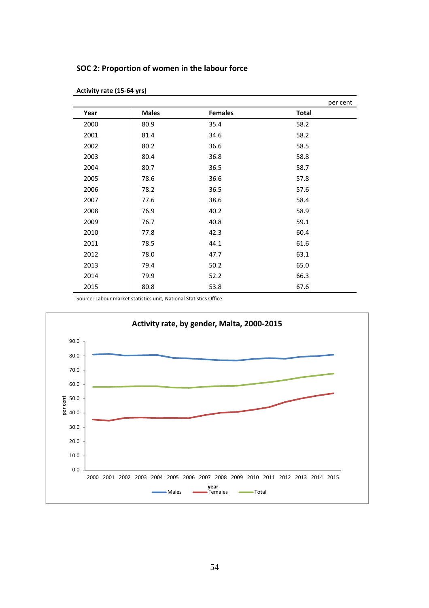### **SOC 2: Proportion of women in the labour force**

|      |              |                | per cent     |
|------|--------------|----------------|--------------|
| Year | <b>Males</b> | <b>Females</b> | <b>Total</b> |
| 2000 | 80.9         | 35.4           | 58.2         |
| 2001 | 81.4         | 34.6           | 58.2         |
| 2002 | 80.2         | 36.6           | 58.5         |
| 2003 | 80.4         | 36.8           | 58.8         |
| 2004 | 80.7         | 36.5           | 58.7         |
| 2005 | 78.6         | 36.6           | 57.8         |
| 2006 | 78.2         | 36.5           | 57.6         |
| 2007 | 77.6         | 38.6           | 58.4         |
| 2008 | 76.9         | 40.2           | 58.9         |
| 2009 | 76.7         | 40.8           | 59.1         |
| 2010 | 77.8         | 42.3           | 60.4         |
| 2011 | 78.5         | 44.1           | 61.6         |
| 2012 | 78.0         | 47.7           | 63.1         |
| 2013 | 79.4         | 50.2           | 65.0         |
| 2014 | 79.9         | 52.2           | 66.3         |
| 2015 | 80.8         | 53.8           | 67.6         |

**Activity rate (15-64 yrs)** 

Source: Labour market statistics unit, National Statistics Office.

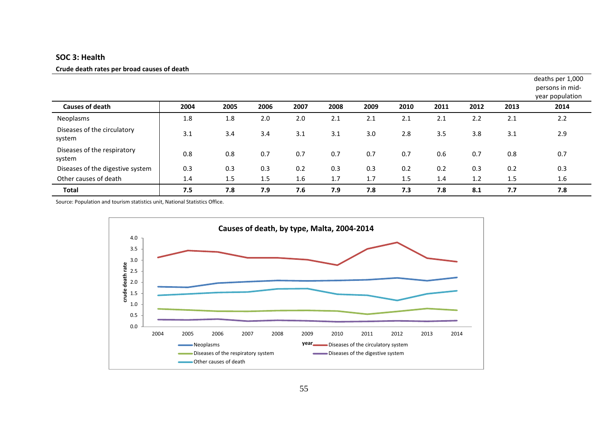#### **SOC 3: Health**

#### **Crude death rates per broad causes of death**

|                                       |      |      |      |      |      |      |      |      |      |      | deaths per 1,000<br>persons in mid-<br>year population |
|---------------------------------------|------|------|------|------|------|------|------|------|------|------|--------------------------------------------------------|
| <b>Causes of death</b>                | 2004 | 2005 | 2006 | 2007 | 2008 | 2009 | 2010 | 2011 | 2012 | 2013 | 2014                                                   |
| Neoplasms                             | 1.8  | 1.8  | 2.0  | 2.0  | 2.1  | 2.1  | 2.1  | 2.1  | 2.2  | 2.1  | 2.2                                                    |
| Diseases of the circulatory<br>system | 3.1  | 3.4  | 3.4  | 3.1  | 3.1  | 3.0  | 2.8  | 3.5  | 3.8  | 3.1  | 2.9                                                    |
| Diseases of the respiratory<br>system | 0.8  | 0.8  | 0.7  | 0.7  | 0.7  | 0.7  | 0.7  | 0.6  | 0.7  | 0.8  | 0.7                                                    |
| Diseases of the digestive system      | 0.3  | 0.3  | 0.3  | 0.2  | 0.3  | 0.3  | 0.2  | 0.2  | 0.3  | 0.2  | 0.3                                                    |
| Other causes of death                 | 1.4  | 1.5  | 1.5  | 1.6  | 1.7  | 1.7  | 1.5  | 1.4  | 1.2  | 1.5  | 1.6                                                    |
| <b>Total</b>                          | 7.5  | 7.8  | 7.9  | 7.6  | 7.9  | 7.8  | 7.3  | 7.8  | 8.1  | 7.7  | 7.8                                                    |

Source: Population and tourism statistics unit, National Statistics Office.